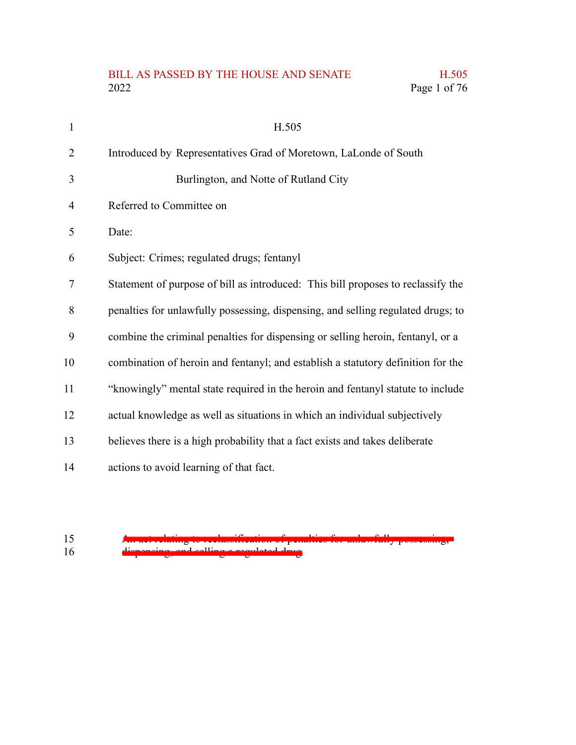### BILL AS PASSED BY THE HOUSE AND SENATE H.505<br>2022 Page 1 of 76 Page 1 of 76

| $\mathbf{1}$ | H.505                                                                            |
|--------------|----------------------------------------------------------------------------------|
| 2            | Introduced by Representatives Grad of Moretown, LaLonde of South                 |
| 3            | Burlington, and Notte of Rutland City                                            |
| 4            | Referred to Committee on                                                         |
| 5            | Date:                                                                            |
| 6            | Subject: Crimes; regulated drugs; fentanyl                                       |
| 7            | Statement of purpose of bill as introduced: This bill proposes to reclassify the |
| 8            | penalties for unlawfully possessing, dispensing, and selling regulated drugs; to |
| 9            | combine the criminal penalties for dispensing or selling heroin, fentanyl, or a  |
| 10           | combination of heroin and fentanyl; and establish a statutory definition for the |
| 11           | "knowingly" mental state required in the heroin and fentanyl statute to include  |
| 12           | actual knowledge as well as situations in which an individual subjectively       |
| 13           | believes there is a high probability that a fact exists and takes deliberate     |
| 14           | actions to avoid learning of that fact.                                          |

15 16

An act relating to reclassification of penalties for unlawfully possessing, dispensing, and selling a regulated drug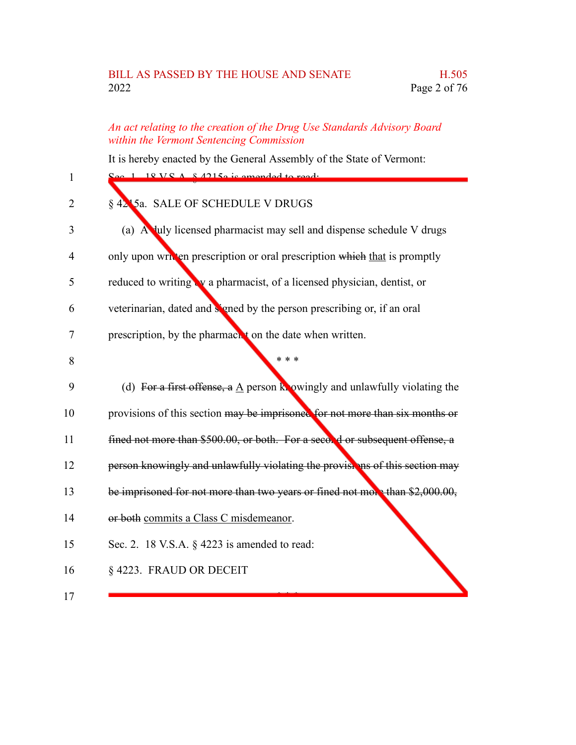#### BILL AS PASSED BY THE HOUSE AND SENATE H.505 2022 Page 2 of 76

#### *An act relating to the creation of the Drug Use Standards Advisory Board within the Vermont Sentencing Commission*

It is hereby enacted by the General Assembly of the State of Vermont:

| $\mathbf{1}$   | $1 \t19 VQA 842150$ is amended to read.                                                  |
|----------------|------------------------------------------------------------------------------------------|
| 2              | § 4215a. SALE OF SCHEDULE V DRUGS                                                        |
| 3              | (a) A luly licensed pharmacist may sell and dispense schedule V drugs                    |
| $\overline{4}$ | only upon written prescription or oral prescription which that is promptly               |
| 5              | reduced to writing w a pharmacist, of a licensed physician, dentist, or                  |
| 6              | veterinarian, dated and signed by the person prescribing or, if an oral                  |
| 7              | prescription, by the pharmach t on the date when written.                                |
| 8              | * * *                                                                                    |
| 9              | (d) For a first offense, a $\underline{A}$ person knowingly and unlawfully violating the |
| 10             | provisions of this section may be imprisoned for not more than six months or             |
| 11             | fined not more than \$500.00, or both. For a secon d or subsequent offense, a            |
| 12             | person knowingly and unlawfully violating the provisting of this section may             |
| 13             | be imprisoned for not more than two years or fined not more than \$2,000.00,             |
| 14             | or both commits a Class C misdemeanor.                                                   |
| 15             | Sec. 2. 18 V.S.A. § 4223 is amended to read:                                             |
| 16             | §4223. FRAUD OR DECEIT                                                                   |
| 17             |                                                                                          |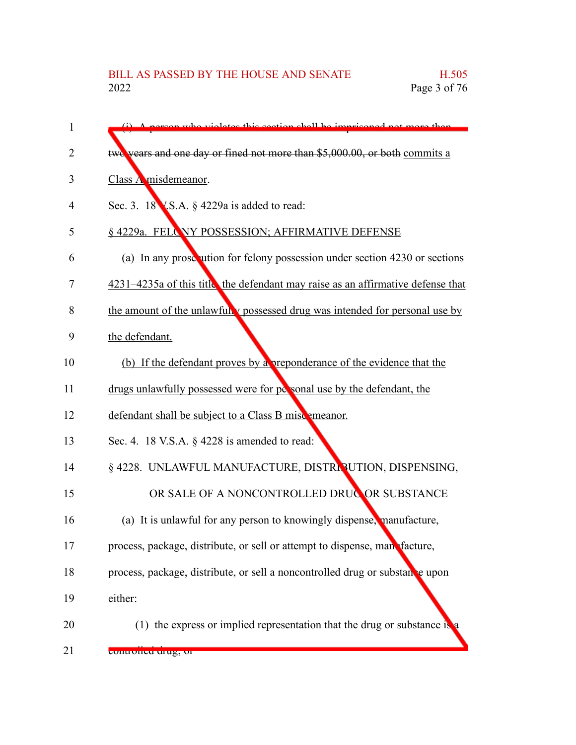$\mathbf{w}_{\mathbf{p}}$  relates this section shall be imprisoned not more two years and one day or fined not more than \$5,000.00, or both commits a Class A misdemeanor. Sec. 3. 18 V.S.A. § 4229a is added to read: § 4229a. FELONY POSSESSION; AFFIRMATIVE DEFENSE (a) In any prosecution for felony possession under section  $4230$  or sections 4231–4235a of this title, the defendant may raise as an affirmative defense that the amount of the unlawfully possessed drug was intended for personal use by the defendant. (b) If the defendant proves by a preponderance of the evidence that the drugs unlawfully possessed were for personal use by the defendant, the defendant shall be subject to a Class B miscomeanor. Sec. 4. 18 V.S.A. § 4228 is amended to read: § 4228. UNLAWFUL MANUFACTURE, DISTRIBUTION, DISPENSING, OR SALE OF A NONCONTROLLED DRUG OR SUBSTANCE (a) It is unlawful for any person to knowingly dispense, manufacture, process, package, distribute, or sell or attempt to dispense, manufacture, process, package, distribute, or sell a noncontrolled drug or substance upon either: (1) the express or implied representation that the drug or substance is 1 2 3 4 5 6 7 8 9 10 11 12 13 14 15 16 17 18 19 20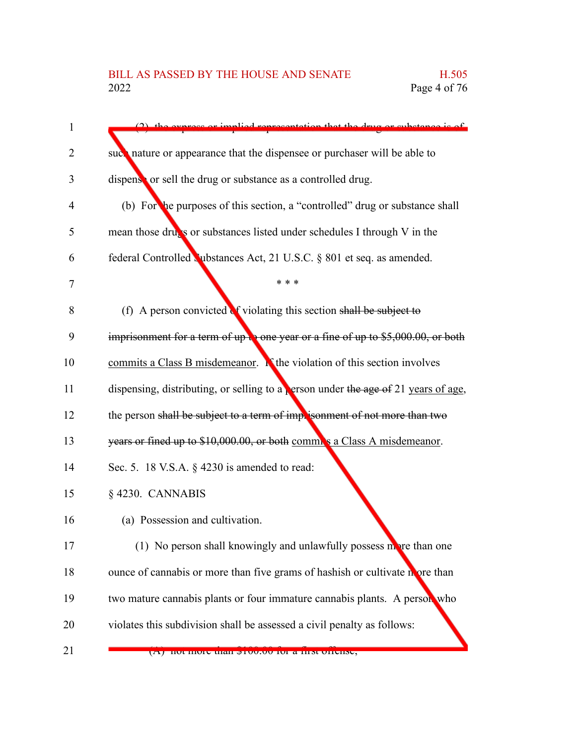| $\mathbf{1}$ | $(2)$ the express or implied representation that the drug or substance is of                |
|--------------|---------------------------------------------------------------------------------------------|
| 2            | such nature or appearance that the dispensee or purchaser will be able to                   |
| 3            | dispense or sell the drug or substance as a controlled drug.                                |
| 4            | (b) For the purposes of this section, a "controlled" drug or substance shall                |
| 5            | mean those drugs or substances listed under schedules I through $V$ in the                  |
| 6            | federal Controlled Upstances Act, 21 U.S.C. § 801 et seq. as amended.                       |
| 7            | * * *                                                                                       |
| 8            | (f) A person convicted $\mathbf{d}$ violating this section shall be subject to              |
| 9            | imprisonment for a term of up $\frac{1}{2}$ one year or a fine of up to \$5,000.00, or both |
| 10           | commits a Class B misdemeanor. $\mathbf{R}$ the violation of this section involves          |
| 11           | dispensing, distributing, or selling to a <b>Person</b> under the age of 21 years of age,   |
| 12           | the person shall be subject to a term of imprisonment of not more than two                  |
| 13           | years or fined up to \$10,000.00, or both commonly a Class A misdemeanor.                   |
| 14           | Sec. 5. 18 V.S.A. § 4230 is amended to read:                                                |
| 15           | §4230. CANNABIS                                                                             |
| 16           | (a) Possession and cultivation.                                                             |
| 17           | (1) No person shall knowingly and unlawfully possess more than one                          |
| 18           | ounce of cannabis or more than five grams of hashish or cultivate nore than                 |
| 19           | two mature cannabis plants or four immature cannabis plants. A person who                   |
| 20           | violates this subdivision shall be assessed a civil penalty as follows:                     |
| 21           | (A) not more than provide to a mist offense,                                                |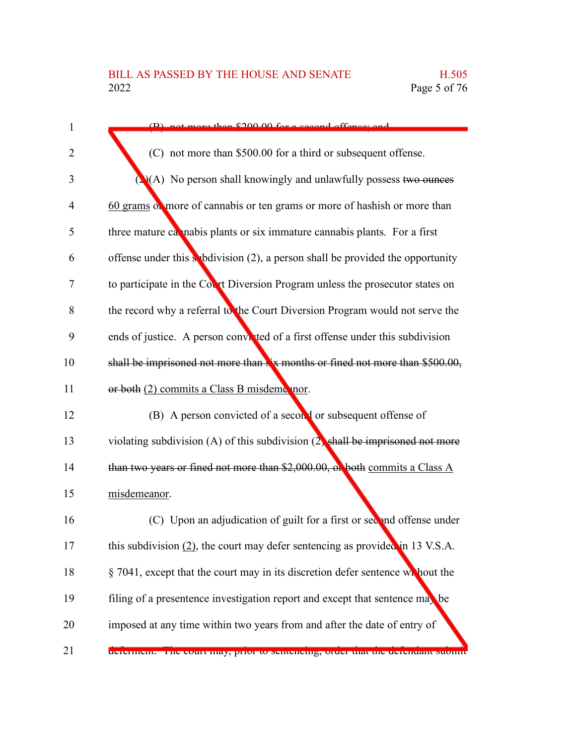| $\mathbf{1}$   | not more than \$200.00 for a second offenser and                                          |
|----------------|-------------------------------------------------------------------------------------------|
| 2              | (C) not more than \$500.00 for a third or subsequent offense.                             |
| 3              | $\triangle$ (A) No person shall knowingly and unlawfully possess two ounces               |
| $\overline{4}$ | 60 grams of more of cannabis or ten grams or more of hashish or more than                 |
| 5              | three mature calmabis plants or six immature cannabis plants. For a first                 |
| 6              | offense under this subdivision $(2)$ , a person shall be provided the opportunity         |
| 7              | to participate in the Court Diversion Program unless the prosecutor states on             |
| 8              | the record why a referral to the Court Diversion Program would not serve the              |
| 9              | ends of justice. A person convicted of a first offense under this subdivision             |
| 10             | shall be imprisoned not more than $\frac{1}{2}$ x months or fined not more than \$500.00, |
| 11             | or both (2) commits a Class B misdeme nor.                                                |
| 12             | (B) A person convicted of a second or subsequent offense of                               |
| 13             | violating subdivision (A) of this subdivision $(2)$ shall be imprisoned not more          |
| 14             | than two years or fined not more than \$2,000.00, or both commits a Class A               |
| 15             | misdemeanor.                                                                              |
| 16             | (C) Upon an adjudication of guilt for a first or second offense under                     |
| 17             | this subdivision $(2)$ , the court may defer sentencing as provided in 13 V.S.A.          |
| 18             | § 7041, except that the court may in its discretion defer sentence wh hout the            |
| 19             | filing of a presentence investigation report and except that sentence may be              |
| 20             | imposed at any time within two years from and after the date of entry of                  |
| 21             | determent. The court may, prior to senteneing, order that the detendant submit            |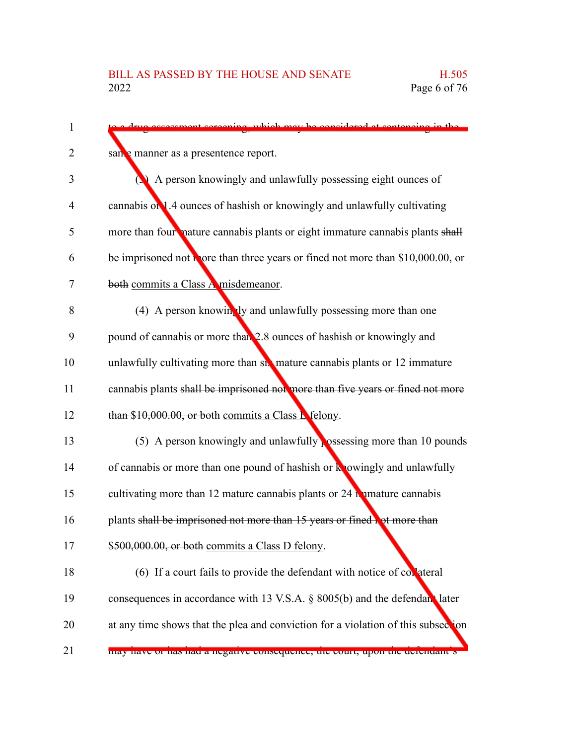| ment coroning which may be considered at contensing in the                        |
|-----------------------------------------------------------------------------------|
| san manner as a presentence report.                                               |
| A person knowingly and unlawfully possessing eight ounces of                      |
| cannabis on 1.4 ounces of hashish or knowingly and unlawfully cultivating         |
| more than four nature cannabis plants or eight immature cannabis plants shall     |
| be imprisoned not thore than three years or fined not more than \$10,000.00, or   |
| both commits a Class A misdemeanor.                                               |
| (4) A person knowingly and unlawfully possessing more than one                    |
| pound of cannabis or more than 2.8 ounces of hashish or knowingly and             |
| unlawfully cultivating more than six mature cannabis plants or 12 immature        |
| cannabis plants shall be imprisoned not more than five years or fined not more    |
| than \$10,000.00, or both commits a Class L felony.                               |
| (5) A person knowingly and unlawfully possessing more than 10 pounds              |
| of cannabis or more than one pound of hashish or knowingly and unlawfully         |
| cultivating more than 12 mature cannabis plants or $24$ m mature cannabis         |
| plants shall be imprisoned not more than 15 years or fined bot more than          |
| \$500,000.00, or both commits a Class D felony.                                   |
| (6) If a court fails to provide the defendant with notice of collateral           |
| consequences in accordance with 13 V.S.A. § 8005(b) and the defendant later       |
| at any time shows that the plea and conviction for a violation of this subsection |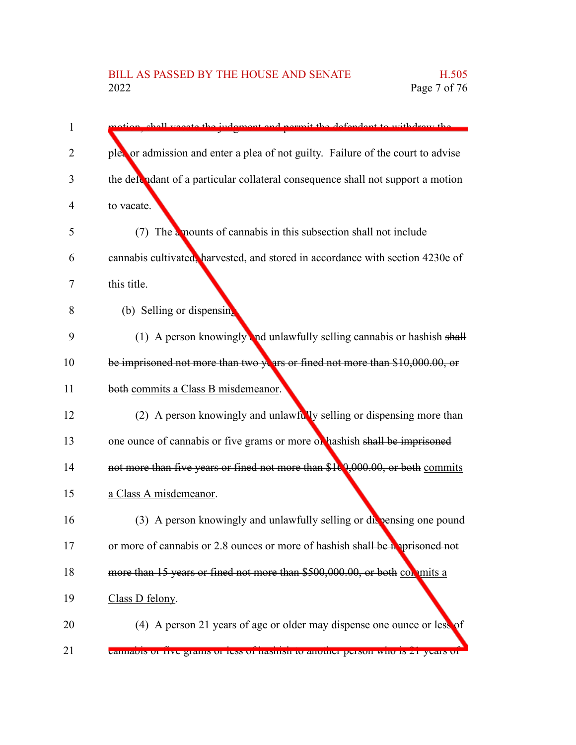| 1              | stion, shall yessets the judgment and permit the defendant to withdraw the       |
|----------------|----------------------------------------------------------------------------------|
| $\overline{2}$ | plea or admission and enter a plea of not guilty. Failure of the court to advise |
| 3              | the defendant of a particular collateral consequence shall not support a motion  |
| 4              | to vacate.                                                                       |
| 5              | (7) The a mounts of cannabis in this subsection shall not include                |
| 6              | cannabis cultivated, harvested, and stored in accordance with section 4230e of   |
| 7              | this title.                                                                      |
| 8              | (b) Selling or dispensing                                                        |
| 9              | (1) A person knowingly and unlawfully selling cannabis or hashish shall          |
| 10             | be imprisoned not more than two years or fined not more than \$10,000.00, or     |
| 11             | both commits a Class B misdemeanor.                                              |
| 12             | (2) A person knowingly and unlawfully selling or dispensing more than            |
| 13             | one ounce of cannabis or five grams or more of hashish shall be imprisoned       |
| 14             | not more than five years or fined not more than \$10,000.00, or both commits     |
| 15             | a Class A misdemeanor.                                                           |
| 16             | (3) A person knowingly and unlawfully selling or diversing one pound             |
| 17             | or more of cannabis or 2.8 ounces or more of hashish shall be a prisoned not     |
| 18             | more than 15 years or fined not more than \$500,000.00, or both con units a      |
| 19             | Class D felony.                                                                  |
| 20             | (4) A person 21 years of age or older may dispense one ounce or less of          |
| 21             | Cannauis of tive grains of tess of hashish to another person who is 21 years of  |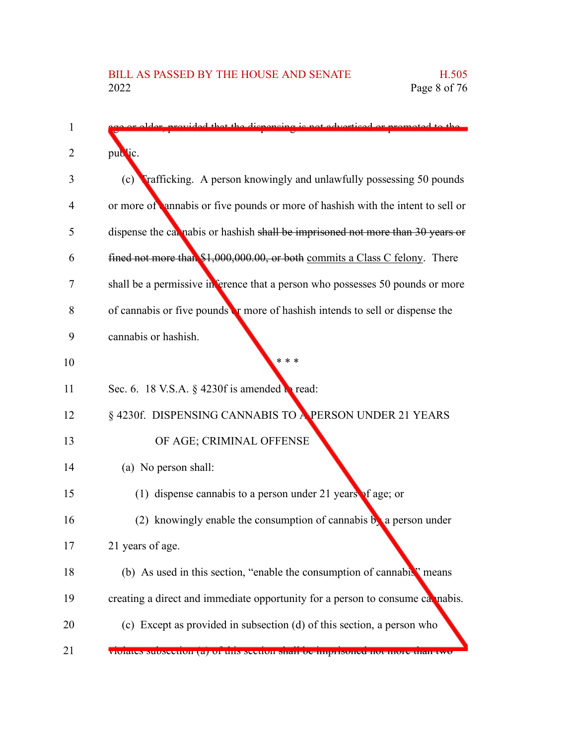| $\mathbf{1}$ | provided that the dispensing is not advertised or promoted to the               |
|--------------|---------------------------------------------------------------------------------|
| 2            | public.                                                                         |
| 3            | Frafficking. A person knowingly and unlawfully possessing 50 pounds<br>(c)      |
| 4            | or more of annabis or five pounds or more of hashish with the intent to sell or |
| 5            | dispense the cal nabis or hashish shall be imprisoned not more than 30 years or |
| 6            | fined not more than \$1,000,000.00, or both commits a Class C felony. There     |
| 7            | shall be a permissive in ference that a person who possesses 50 pounds or more  |
| 8            | of cannabis or five pounds or more of hashish intends to sell or dispense the   |
| 9            | cannabis or hashish.                                                            |
| 10           | * * *                                                                           |
| 11           | Sec. 6. 18 V.S.A. § 4230f is amended $\mathbf{R}$ read:                         |
| 12           | § 4230f. DISPENSING CANNABIS TO A PERSON UNDER 21 YEARS                         |
| 13           | OF AGE; CRIMINAL OFFENSE                                                        |
| 14           | (a) No person shall:                                                            |
| 15           | (1) dispense cannabis to a person under 21 years of age; or                     |
| 16           | (2) knowingly enable the consumption of cannabis $\mathbf{b}$ a person under    |
| 17           | 21 years of age.                                                                |
| 18           | (b) As used in this section, "enable the consumption of cannabis" means         |
| 19           | creating a direct and immediate opportunity for a person to consume camabis.    |
| 20           | (c) Except as provided in subsection (d) of this section, a person who          |
| 21           | violates subsection (a) of this section share be imprisoned not more than two   |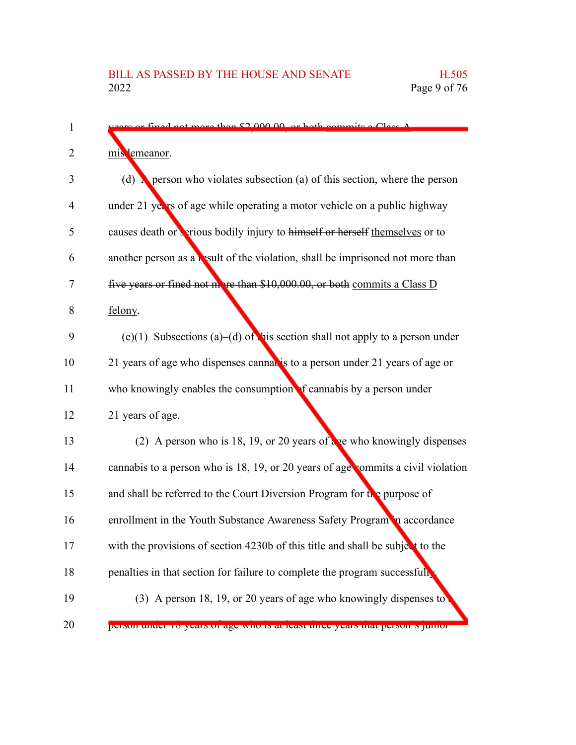| 1              | or fined not more than \$2,000,00, or both commits a Class A                      |
|----------------|-----------------------------------------------------------------------------------|
| 2              | mis lemeanor.                                                                     |
| 3              | (d) <b>A</b> person who violates subsection (a) of this section, where the person |
| $\overline{4}$ | under 21 years of age while operating a motor vehicle on a public highway         |
| 5              | causes death or verious bodily injury to himself or herself themselves or to      |
| 6              | another person as a result of the violation, shall be imprisoned not more than    |
| 7              | five years or fined not more than \$10,000.00, or both commits a Class D          |
| 8              | felony.                                                                           |
| 9              | (e)(1) Subsections (a)–(d) of his section shall not apply to a person under       |
| 10             | 21 years of age who dispenses cannables to a person under 21 years of age or      |
| 11             | who knowingly enables the consumption of cannabis by a person under               |
| 12             | 21 years of age.                                                                  |
| 13             | (2) A person who is 18, 19, or 20 years of $\frac{1}{2}$ who knowingly dispenses  |
| 14             | cannabis to a person who is 18, 19, or 20 years of age commits a civil violation  |
| 15             | and shall be referred to the Court Diversion Program for the purpose of           |
| 16             | enrollment in the Youth Substance Awareness Safety Program in accordance          |
| 17             | with the provisions of section 4230b of this title and shall be subject to the    |
| 18             | penalties in that section for failure to complete the program successfully        |
| 19             | (3) A person 18, 19, or 20 years of age who knowingly dispenses to                |
| 20             | person under to years or age who is at least three years that person s jumor      |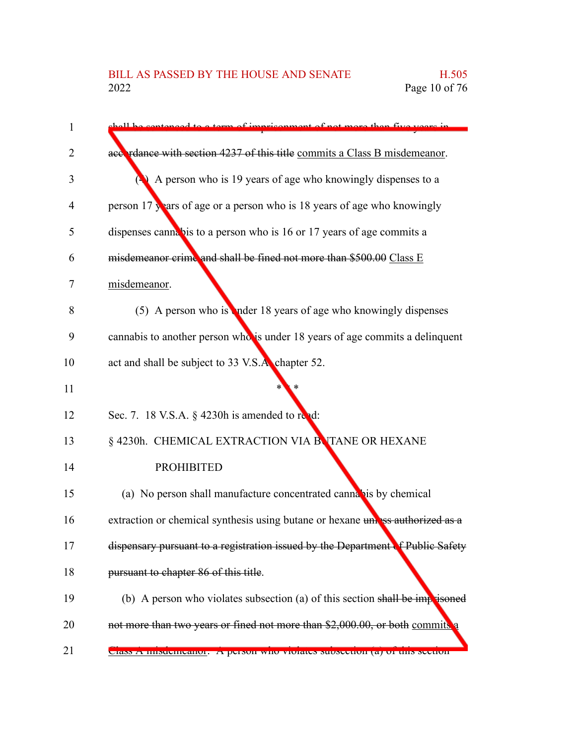| 1  | contenced to a term of imprisonment of not more than five years in              |
|----|---------------------------------------------------------------------------------|
| 2  | accordance with section 4237 of this title commits a Class B misdemeanor.       |
| 3  | A person who is 19 years of age who knowingly dispenses to a                    |
| 4  | person 17 years of age or a person who is 18 years of age who knowingly         |
| 5  | dispenses cannabis to a person who is 16 or 17 years of age commits a           |
| 6  | misdemeanor crime and shall be fined not more than \$500.00 Class E             |
| 7  | misdemeanor.                                                                    |
| 8  | $(5)$ A person who is nder 18 years of age who knowingly dispenses              |
| 9  | cannabis to another person who is under 18 years of age commits a delinquent    |
| 10 | act and shall be subject to 33 V.S.A. chapter 52.                               |
| 11 |                                                                                 |
| 12 | Sec. 7. 18 V.S.A. § 4230h is amended to read:                                   |
| 13 | § 4230h. CHEMICAL EXTRACTION VIA BUTANE OR HEXANE                               |
| 14 | <b>PROHIBITED</b>                                                               |
| 15 | (a) No person shall manufacture concentrated cannabis by chemical               |
| 16 | extraction or chemical synthesis using butane or hexane unass authorized as a   |
| 17 | dispensary pursuant to a registration issued by the Department of Public Safety |
| 18 | pursuant to chapter 86 of this title.                                           |
| 19 | (b) A person who violates subsection (a) of this section shall be imprisoned    |
| 20 | not more than two years or fined not more than \$2,000.00, or both commits a    |
| 21 | Class A misucineanor. A person who violates subsection (a) of this section      |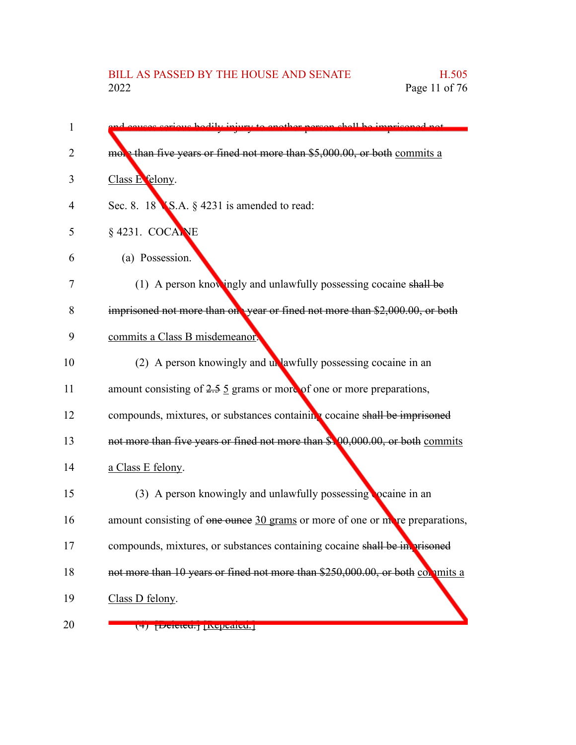| 1  | causes serious hodily injury to enother person shall be imprisoned not              |
|----|-------------------------------------------------------------------------------------|
| 2  | more than five years or fined not more than \$5,000.00, or both commits a           |
| 3  | Class E felony.                                                                     |
| 4  | Sec. 8. 18 $\blacktriangleright$ S.A. § 4231 is amended to read:                    |
| 5  | § 4231. COCANE                                                                      |
| 6  | (a) Possession.                                                                     |
| 7  | (1) A person knowingly and unlawfully possessing cocaine shall be                   |
| 8  | imprisoned not more than one year or fined not more than \$2,000.00, or both        |
| 9  | commits a Class B misdemeanor.                                                      |
| 10 | (2) A person knowingly and unlawfully possessing cocaine in an                      |
| 11 | amount consisting of $2.5 \underline{5}$ grams or more of one or more preparations, |
| 12 | compounds, mixtures, or substances containing cocaine shall be imprisoned           |
| 13 | not more than five years or fined not more than \$100,000.00, or both commits       |
| 14 | a Class E felony.                                                                   |
| 15 | (3) A person knowingly and unlawfully possessing <b>collection</b> in an            |
| 16 | amount consisting of one ounce 30 grams or more of one or more preparations,        |
| 17 | compounds, mixtures, or substances containing cocaine shall be in prisoned          |
| 18 | not more than 10 years or fined not more than \$250,000.00, or both commits a       |
| 19 | Class D felony.                                                                     |
| 20 | ( <del>1) peleteu.</del> Ixepealeu. <sub>1</sub>                                    |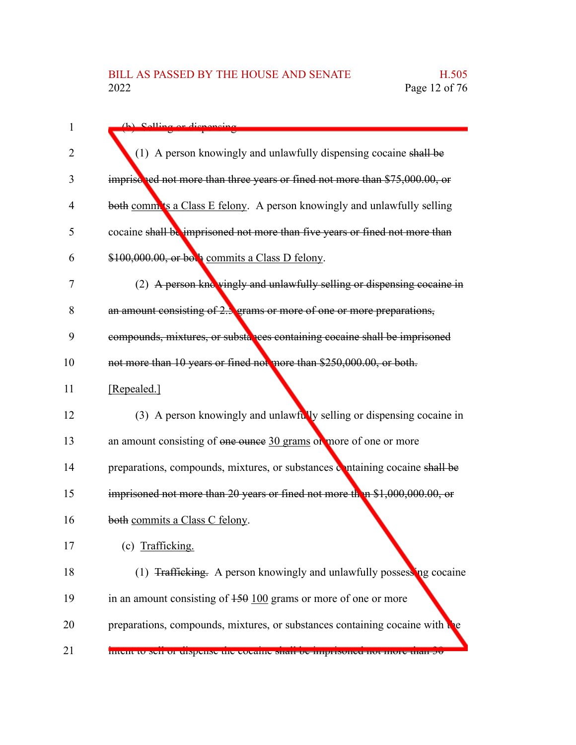| $\mathbf{1}$ | (h) Solling or disponsing                                                        |
|--------------|----------------------------------------------------------------------------------|
| 2            | (1) A person knowingly and unlawfully dispensing cocaine shall be                |
| 3            | imprisched not more than three years or fined not more than \$75,000.00, or      |
|              |                                                                                  |
| 4            | both comm'ts a Class E felony. A person knowingly and unlawfully selling         |
| 5            | cocaine shall be imprisoned not more than five years or fined not more than      |
| 6            | \$100,000.00, or both commits a Class D felony.                                  |
| 7            | (2) A person knc vingly and unlawfully selling or dispensing cocaine in          |
| 8            | an amount consisting of 2.3 grams or more of one or more preparations,           |
| 9            | compounds, mixtures, or substances containing cocaine shall be imprisoned        |
| 10           | not more than 10 years or fined not more than \$250,000.00, or both.             |
| 11           | [Repealed.]                                                                      |
| 12           | (3) A person knowingly and unlawfully selling or dispensing cocaine in           |
| 13           | an amount consisting of one ounce 30 grams or more of one or more                |
| 14           | preparations, compounds, mixtures, or substances containing cocaine shall be     |
| 15           | imprisoned not more than 20 years or fined not more than \$1,000,000.00, or      |
| 16           | both commits a Class C felony.                                                   |
| 17           | (c) Trafficking.                                                                 |
| 18           | (1) <del>Trafficking.</del> A person knowingly and unlawfully possessing cocaine |
| 19           | in an amount consisting of $150 \underline{100}$ grams or more of one or more    |
| 20           | preparations, compounds, mixtures, or substances containing cocaine with the     |
| 21           | mient to sen or enspense the cocanne sharr be imprisoned not more than 50        |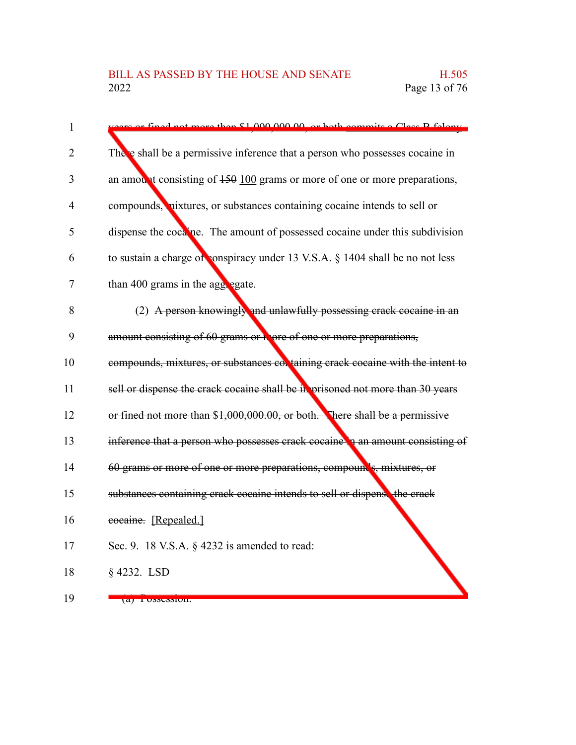| 1              | are ar fined not more than \$1,000,000,00, or both commits a Class B folgar.            |
|----------------|-----------------------------------------------------------------------------------------|
| $\overline{2}$ | There shall be a permissive inference that a person who possesses cocaine in            |
| 3              | an amount consisting of $450 \overline{100}$ grams or more of one or more preparations, |
| $\overline{4}$ | compounds, nixtures, or substances containing cocaine intends to sell or                |
| 5              | dispense the cocaine. The amount of possessed cocaine under this subdivision            |
| 6              | to sustain a charge of conspiracy under 13 V.S.A. § 1404 shall be no not less           |
| 7              | than 400 grams in the aggregate.                                                        |
| 8              | (2) A person knowingly and unlawfully possessing crack cocaine in an                    |
| 9              | amount consisting of 60 grams or hore of one or more preparations,                      |
| 10             | compounds, mixtures, or substances coluaning crack cocaine with the intent to           |
| 11             | sell or dispense the crack cocaine shall be in prisoned not more than 30 years          |
| 12             | or fined not more than \$1,000,000.00, or both. There shall be a permissive             |
| 13             | inference that a person who possesses crack cocaine to an amount consisting of          |
| 14             | 60 grams or more of one or more preparations, compound's, mixtures, or                  |
| 15             | substances containing crack cocaine intends to sell or dispense the crack               |
| 16             | eocaine. [Repealed.]                                                                    |
| 17             | Sec. 9. 18 V.S.A. § 4232 is amended to read:                                            |
| 18             | § 4232. LSD                                                                             |
| 19             | $\overline{a}$ rossession.                                                              |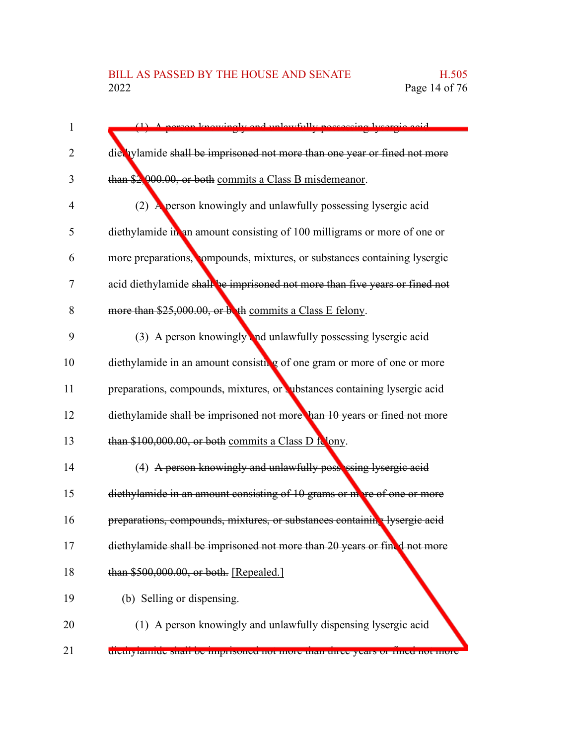| $\mathbf{1}$   | sercon knowingly and unlawfully poccessing tycorgia said                    |
|----------------|-----------------------------------------------------------------------------|
| 2              | die hylamide shall be imprisoned not more than one year or fined not more   |
| 3              | than \$2,000.00, or both commits a Class B misdemeanor.                     |
| $\overline{4}$ | (2) A person knowingly and unlawfully possessing lysergic acid              |
| 5              | diethylamide in an amount consisting of 100 milligrams or more of one or    |
| 6              | more preparations, compounds, mixtures, or substances containing lysergic   |
| 7              | acid diethylamide shall be imprisoned not more than five years or fined not |
| 8              | more than \$25,000.00, or both commits a Class E felony.                    |
| 9              | (3) A person knowingly and unlawfully possessing lysergic acid              |
| 10             | diethylamide in an amount consisting of one gram or more of one or more     |
| 11             | preparations, compounds, mixtures, or substances containing lysergic acid   |
| 12             | diethylamide shall be imprisoned not more han 10 years or fined not more    |
| 13             | than \$100,000.00, or both commits a Class D folony.                        |
| 14             | (4) A person knowingly and unlawfully possessing lysergic acid              |
| 15             | diethylamide in an amount consisting of 10 grams or more of one or more     |
| 16             | preparations, compounds, mixtures, or substances containing lysergic acid   |
| 17             | diethylamide shall be imprisoned not more than 20 years or fined not more   |
| 18             | than \$500,000.00, or both. [Repealed.]                                     |
| 19             | (b) Selling or dispensing.                                                  |
| 20             | (1) A person knowingly and unlawfully dispensing lysergic acid              |
| 21             | uicuryrannuc snan oc imprisoned not more than uiree years or mied not more  |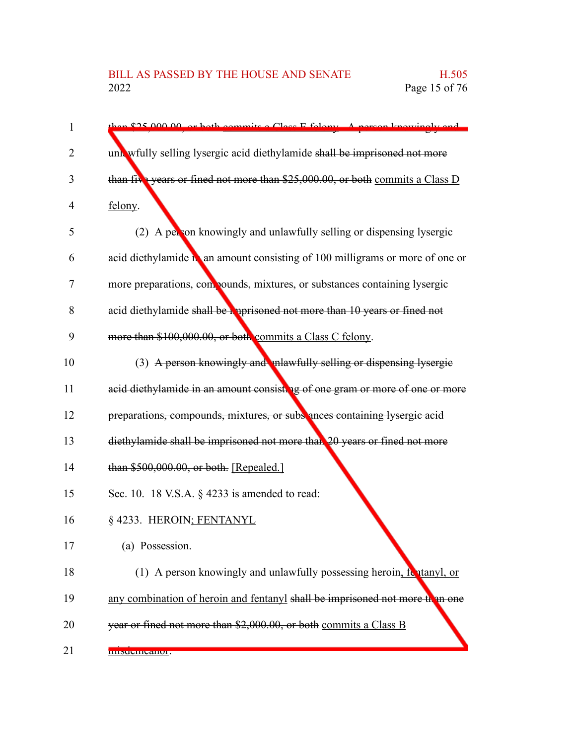| unk wfully selling lysergic acid diethylamide shall be imprisoned not more    |
|-------------------------------------------------------------------------------|
| than five years or fined not more than \$25,000.00, or both commits a Class D |
| felony.                                                                       |
| (2) A person knowingly and unlawfully selling or dispensing lysergic          |
| acid diethylamide na amount consisting of 100 milligrams or more of one or    |
| more preparations, compounds, mixtures, or substances containing lysergic     |
| acid diethylamide shall be reprisoned not more than 10 years or fined not     |
| more than \$100,000.00, or both commits a Class C felony.                     |
| (3) A person knowingly and unlawfully selling or dispensing lysergie          |
| acid diethylamide in an amount consisting of one gram or more of one or more  |
| preparations, compounds, mixtures, or subs ances containing lysergic acid     |
| diethylamide shall be imprisoned not more than 20 years or fined not more     |
| than \$500,000.00, or both. [Repealed.]                                       |
| Sec. 10. 18 V.S.A. § 4233 is amended to read:                                 |
| § 4233. HEROIN; FENTANYL                                                      |
| (a) Possession.                                                               |
| (1) A person knowingly and unlawfully possessing heroin, for tanyl, or        |

any combination of heroin and fentanyl shall be imprisoned not more than one 19

year or fined not more than \$2,000.00, or both commits a Class B 20

misdemeanor. 21

1

2

3

4

5

6

7

8

9

10

11

12

13

14

15

16

17

18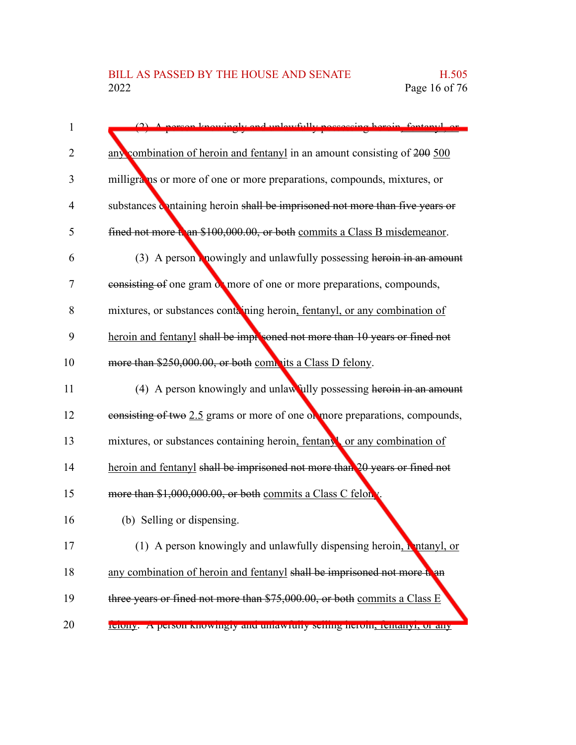| 1  | aly and unlawfully noggoging heroin fentanyl or                              |
|----|------------------------------------------------------------------------------|
| 2  | any combination of heroin and fentanyl in an amount consisting of 200 500    |
| 3  | milligrams or more of one or more preparations, compounds, mixtures, or      |
| 4  | substances containing heroin shall be imprisoned not more than five years or |
| 5  | fined not more than \$100,000.00, or both commits a Class B misdemeanor.     |
| 6  | (3) A person <b>R</b> nowingly and unlawfully possessing heroin in an amount |
| 7  | consisting of one gram of more of one or more preparations, compounds,       |
| 8  | mixtures, or substances containing heroin, fentanyl, or any combination of   |
| 9  | heroin and fentanyl shall be improsoned not more than 10 years or fined not  |
| 10 | more than \$250,000.00, or both commits a Class D felony.                    |
| 11 | (4) A person knowingly and unlawfully possessing heroin in an amount         |
| 12 | consisting of two 2.5 grams or more of one or more preparations, compounds,  |
| 13 | mixtures, or substances containing heroin, fentany or any combination of     |
| 14 | heroin and fentanyl shall be imprisoned not more than 20 years or fined not  |
| 15 | more than \$1,000,000.00, or both commits a Class C felon v.                 |
| 16 | (b) Selling or dispensing.                                                   |
| 17 | (1) A person knowingly and unlawfully dispensing heroin, it ntanyl, or       |
| 18 | any combination of heroin and fentanyl shall be imprisoned not more than     |
| 19 | three years or fined not more than \$75,000.00, or both commits a Class E    |
| 20 | reforty. A person knowingly and unlawfully seming neroni, tentanyi, or any   |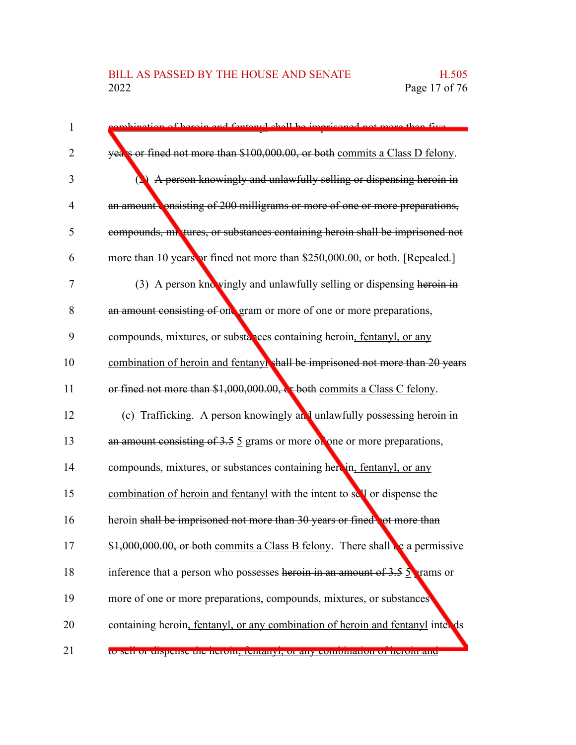## BILL AS PASSED BY THE HOUSE AND SENATE H.505<br>2022 Page 17 of 76

| $\mathbf{1}$   | tion of beroin and fentonyl shall be imprisoned not more than five                     |
|----------------|----------------------------------------------------------------------------------------|
| 2              | yea's or fined not more than \$100,000.00, or both commits a Class D felony.           |
| 3              | A person knowingly and unlawfully selling or dispensing heroin in                      |
| $\overline{4}$ | an amount onsisting of 200 milligrams or more of one or more preparations,             |
| 5              | compounds, mixtures, or substances containing heroin shall be imprisoned not           |
| 6              | more than 10 years or fined not more than \$250,000.00, or both. [Repealed.]           |
| $\tau$         | (3) A person knowingly and unlawfully selling or dispensing heroin in                  |
| 8              | an amount consisting of one gram or more of one or more preparations,                  |
| 9              | compounds, mixtures, or substances containing heroin, fentanyl, or any                 |
| 10             | combination of heroin and fentanyl shall be imprisoned not more than 20 years          |
| 11             | or fined not more than \$1,000,000.00, be both commits a Class C felony.               |
| 12             | (c) Trafficking. A person knowingly and unlawfully possessing heroin in                |
| 13             | an amount consisting of $3.5 \, 5$ grams or more of one or more preparations,          |
| 14             | compounds, mixtures, or substances containing herein, fentanyl, or any                 |
| 15             | combination of heroin and fentanyl with the intent to sell or dispense the             |
| 16             | heroin shall be imprisoned not more than 30 years or fined, ot more than               |
| 17             | \$1,000,000.00, or both commits a Class B felony. There shall be a permissive          |
| 18             | inference that a person who possesses heroin in an amount of $3.5 \frac{5}{2}$ rams or |
| 19             | more of one or more preparations, compounds, mixtures, or substances                   |
| 20             | containing heroin, fentanyl, or any combination of heroin and fentanyl inter ds        |
| 21             | to sen or enspense the neroni, remainyr, or any comomation or nerom and                |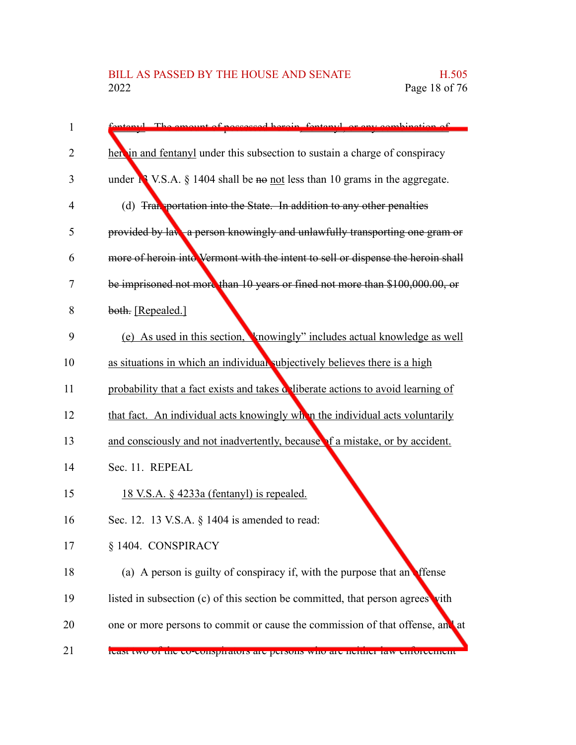| stanyl. The emount of persecosed heroin, fontanyl, or eny combination of              |
|---------------------------------------------------------------------------------------|
| here in and fentanyl under this subsection to sustain a charge of conspiracy          |
| under $\mathbb{N}$ V.S.A. § 1404 shall be no not less than 10 grams in the aggregate. |
| (d) Transportation into the State. In addition to any other penalties                 |
| provided by law, a person knowingly and unlawfully transporting one gram or           |
| more of heroin into Vermont with the intent to sell or dispense the heroin shall      |
| be imprisoned not more than 10 years or fined not more than \$100,000.00, or          |
| both. [Repealed.]                                                                     |
| (e) As used in this section, knowingly" includes actual knowledge as well             |
| as situations in which an individual subjectively believes there is a high            |
| probability that a fact exists and takes deliberate actions to avoid learning of      |
| that fact. An individual acts knowingly when the individual acts voluntarily          |
| and consciously and not inadvertently, because of a mistake, or by accident.          |
| Sec. 11. REPEAL                                                                       |
| <u>18 V.S.A. § 4233a (fentanyl) is repealed.</u>                                      |
| Sec. 12. 13 V.S.A. § 1404 is amended to read:                                         |
| § 1404. CONSPIRACY                                                                    |
| (a) A person is guilty of conspiracy if, with the purpose that an effense             |
| listed in subsection (c) of this section be committed, that person agrees vith        |
| one or more persons to commit or cause the commission of that offense, and at         |
| reast two or the co-conspirators are persons who are neutrer raw emoreement           |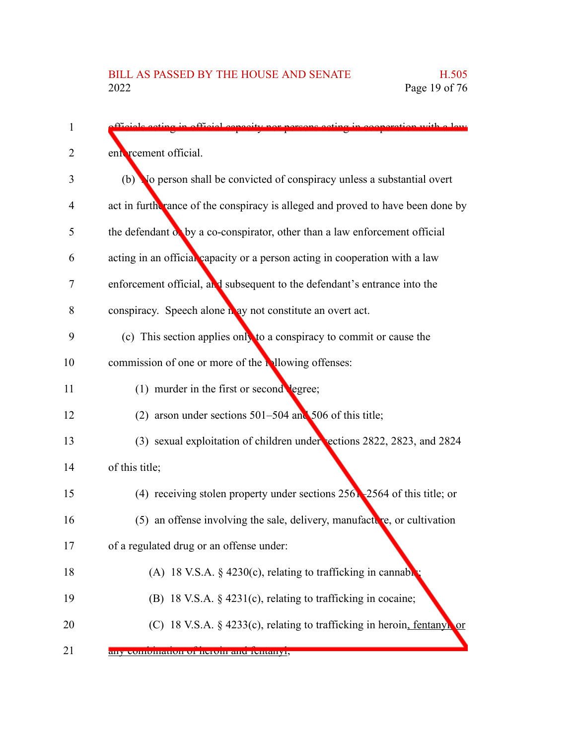| 1  | fficiale ecting in official consoity nor persons ecting in cooperation with a law |
|----|-----------------------------------------------------------------------------------|
| 2  | ent reement official.                                                             |
| 3  | (b) No person shall be convicted of conspiracy unless a substantial overt         |
| 4  | act in furth rance of the conspiracy is alleged and proved to have been done by   |
| 5  | the defendant of by a co-conspirator, other than a law enforcement official       |
| 6  | acting in an official capacity or a person acting in cooperation with a law       |
| 7  | enforcement official, and subsequent to the defendant's entrance into the         |
| 8  | conspiracy. Speech alone n ay not constitute an overt act.                        |
| 9  | (c) This section applies only to a conspiracy to commit or cause the              |
| 10 | commission of one or more of the individual offenses:                             |
| 11 | (1) murder in the first or second legree;                                         |
| 12 | (2) arson under sections $501-504$ and $506$ of this title;                       |
| 13 | (3) sexual exploitation of children under sections 2822, 2823, and 2824           |
| 14 | of this title;                                                                    |
| 15 | (4) receiving stolen property under sections $256$ - $2564$ of this title; or     |
| 16 | $(5)$ an offense involving the sale, delivery, manufacture, or cultivation        |
| 17 | of a regulated drug or an offense under:                                          |
| 18 | (A) 18 V.S.A. $\S$ 4230(c), relating to trafficking in cannable                   |
| 19 | (B) 18 V.S.A. § 4231(c), relating to trafficking in cocaine;                      |
| 20 | (C) 18 V.S.A. $\S$ 4233(c), relating to trafficking in heroin, fentanyl or        |
|    |                                                                                   |

any combination of heroin and fentanyl; 21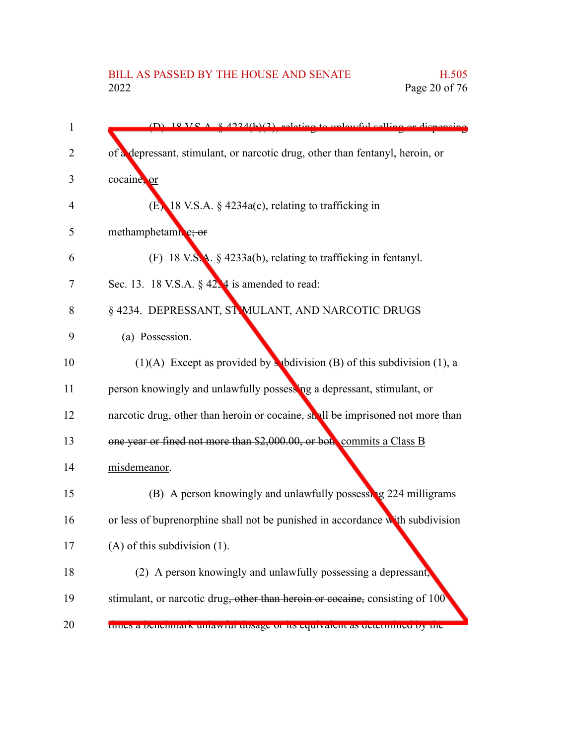### BILL AS PASSED BY THE HOUSE AND SENATE H.505<br>2022 Page 20 of 76 Page 20 of 76

| $\mathbf{1}$   | $(D)$ 18 VS A $\pm$ 4.234(b)(3) relating to unlawful selling or dispensing     |
|----------------|--------------------------------------------------------------------------------|
| $\overline{2}$ | of a depressant, stimulant, or narcotic drug, other than fentanyl, heroin, or  |
| 3              | cocaine, or                                                                    |
| 4              | $(E)$ 18 V.S.A. § 4234a(c), relating to trafficking in                         |
| 5              | methamphetamn e; or                                                            |
| 6              | (F) 18 V.S.A. § 4233a(b), relating to trafficking in fentanyl.                 |
| 7              | Sec. 13. 18 V.S.A. $\S$ 42.4 is amended to read:                               |
| 8              | § 4234. DEPRESSANT, ST MULANT, AND NARCOTIC DRUGS                              |
| 9              | (a) Possession.                                                                |
| 10             | (1)(A) Except as provided by subdivision (B) of this subdivision (1), a        |
| 11             | person knowingly and unlawfully possessing a depressant, stimulant, or         |
| 12             | narcotic drug, other than heroin or cocaine, shall be imprisoned not more than |
| 13             | one year or fined not more than \$2,000.00, or both commits a Class B          |
| 14             | misdemeanor.                                                                   |
| 15             | (B) A person knowingly and unlawfully possessing 224 milligrams                |
| 16             | or less of buprenorphine shall not be punished in accordance with subdivision  |
| 17             | $(A)$ of this subdivision $(1)$ .                                              |
| 18             | (2) A person knowingly and unlawfully possessing a depressant,                 |
| 19             | stimulant, or narcotic drug, other than heroin or cocaine, consisting of 100   |
| 20             | tunes a benemiai k umawitu dosage of ns equivalent as determined by the        |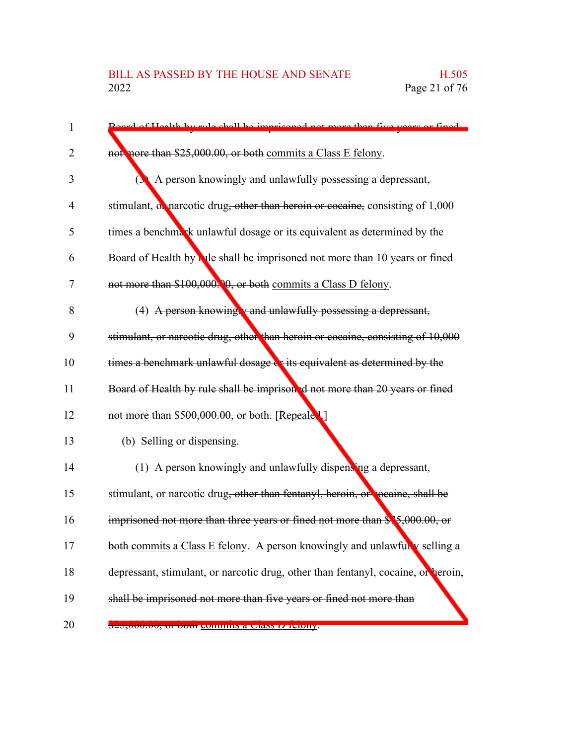| $\mathbf{1}$ | Board of Hoalth by rule shall be imprisoned not more than five years or fined                                             |
|--------------|---------------------------------------------------------------------------------------------------------------------------|
| 2            | not more than \$25,000.00, or both commits a Class E felony.                                                              |
| 3            | A person knowingly and unlawfully possessing a depressant,                                                                |
| 4            | stimulant, of narcotic drug, other than heroin or cocaine, consisting of 1,000                                            |
| 5            | times a benchmark unlawful dosage or its equivalent as determined by the                                                  |
| 6            | Board of Health by Nile shall be imprisoned not more than 10 years or fined                                               |
| 7            | not more than \$100,000. 0, or both commits a Class D felony.                                                             |
| 8            | $(4)$ A person knowing $v$ and unlawfully possessing a depressant,                                                        |
| 9            | stimulant, or narcotic drug, other than heroin or cocaine, consisting of 10,000                                           |
| 10           | times a benchmark unlawful dosage or its equivalent as determined by the                                                  |
| 11           | Board of Health by rule shall be imprisoned not more than 20 years or fined                                               |
| 12           | not more than \$500,000.00, or both. [Repeale 1.]                                                                         |
| 13           | (b) Selling or dispensing.                                                                                                |
| 14           | (1) A person knowingly and unlawfully dispensing a depressant,                                                            |
| 15           | stimulant, or narcotic drug, other than fentanyl, heroin, or cocaine, shall be                                            |
| 16           | imprisoned not more than three years or fined not more than \$15,000.00, or                                               |
| 17           | both commits a Class E felony. A person knowingly and unlawfully selling a                                                |
| 18           | depressant, stimulant, or narcotic drug, other than fentanyl, cocaine, or heroin,                                         |
| 19           | shall be imprisoned not more than five years or fined not more than                                                       |
| 20           | $\frac{1}{2},\frac{1}{2},\frac{1}{2},\frac{1}{2},\frac{1}{2},\frac{1}{2},\frac{1}{2}$ of both committee a Crass D Terony. |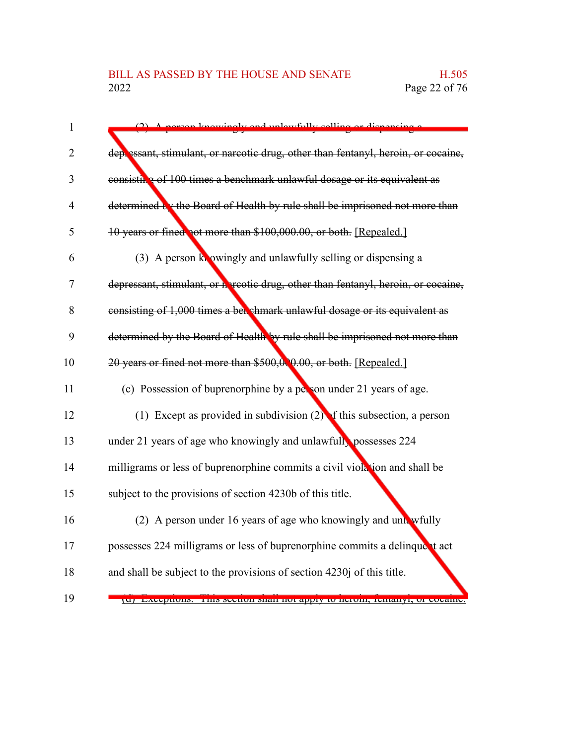| $\mathbf{1}$   | nerson knowingly and unlowfully selling or dispensiv                              |
|----------------|-----------------------------------------------------------------------------------|
| $\overline{2}$ | deplessant, stimulant, or narcotic drug, other than fentanyl, heroin, or cocaine, |
| 3              | consisting of 100 times a benchmark unlawful dosage or its equivalent as          |
| $\overline{4}$ | determined by the Board of Health by rule shall be imprisoned not more than       |
| 5              | 10 years or fined not more than \$100,000.00, or both. [Repealed.]                |
| 6              | (3) A person knowingly and unlawfully selling or dispensing a                     |
| 7              | depressant, stimulant, or a reotic drug, other than fentanyl, heroin, or cocaine, |
| 8              | consisting of 1,000 times a bet shmark unlawful dosage or its equivalent as       |
| 9              | determined by the Board of Health by rule shall be imprisoned not more than       |
| 10             | 20 years or fined not more than \$500,000,000, or both. [Repealed.]               |
| 11             | (c) Possession of buprenorphine by a person under 21 years of age.                |
| 12             | (1) Except as provided in subdivision $(2)$ of this subsection, a person          |
| 13             | under 21 years of age who knowingly and unlawfully possesses 224                  |
| 14             | milligrams or less of buprenorphine commits a civil violation and shall be        |
| 15             | subject to the provisions of section 4230b of this title.                         |
| 16             | (2) A person under 16 years of age who knowingly and unk wfully                   |
| 17             | possesses 224 milligrams or less of buprenorphine commits a delinque t act        |
| 18             | and shall be subject to the provisions of section 4230j of this title.            |
| 19             | да) влесриону. Тину уссион унан погаррту то негони, тептанут, от сосаніс          |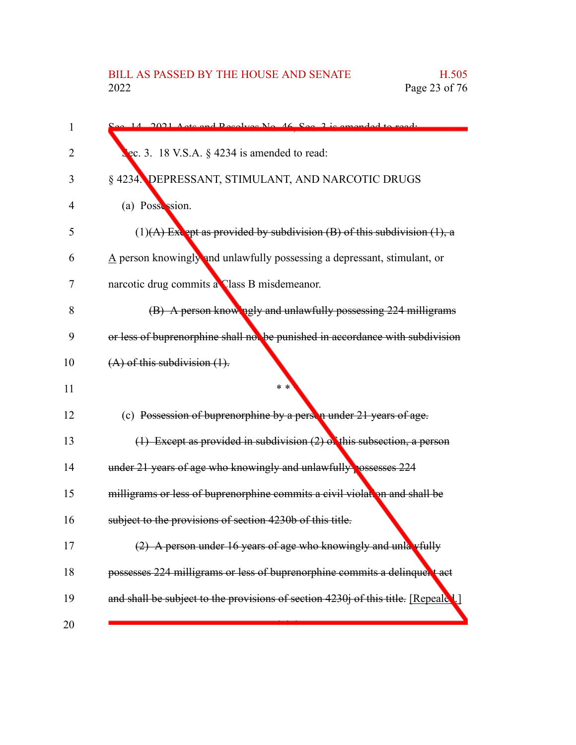| 1              | See 14, 2021 Acts and Resolves No. 46, See 3 is amended to read:                       |
|----------------|----------------------------------------------------------------------------------------|
| $\overline{2}$ | ec. 3. 18 V.S.A. § 4234 is amended to read:                                            |
| 3              | § 4234. DEPRESSANT, STIMULANT, AND NARCOTIC DRUGS                                      |
| 4              | (a) Possession.                                                                        |
| 5              | $(1)$ (A) Extept as provided by subdivision (B) of this subdivision (1), a             |
| 6              | $\underline{A}$ person knowingly and unlawfully possessing a depressant, stimulant, or |
| 7              | narcotic drug commits a Class B misdemeanor.                                           |
| 8              | (B) A person know ngly and unlawfully possessing 224 milligrams                        |
| 9              | or less of buprenorphine shall not be punished in accordance with subdivision          |
| 10             | $(A)$ of this subdivision $(1)$ .                                                      |
| 11             | $* *$                                                                                  |
| 12             | (c) Possession of buprenorphine by a person under 21 years of age.                     |
| 13             | $(1)$ Except as provided in subdivision $(2)$ of this subsection, a person             |
| 14             | under 21 years of age who knowingly and unlawfully ossesses 224                        |
| 15             | milligrams or less of buprenorphine commits a civil violation and shall be             |
| 16             | subject to the provisions of section 4230b of this title.                              |
| 17             | A person under 16 years of age who knowingly and unla vfully                           |
| 18             | possesses 224 milligrams or less of buprenorphine commits a delinquent act             |
| 19             | and shall be subject to the provisions of section 4230j of this title. [Repeale].]     |
| 20             |                                                                                        |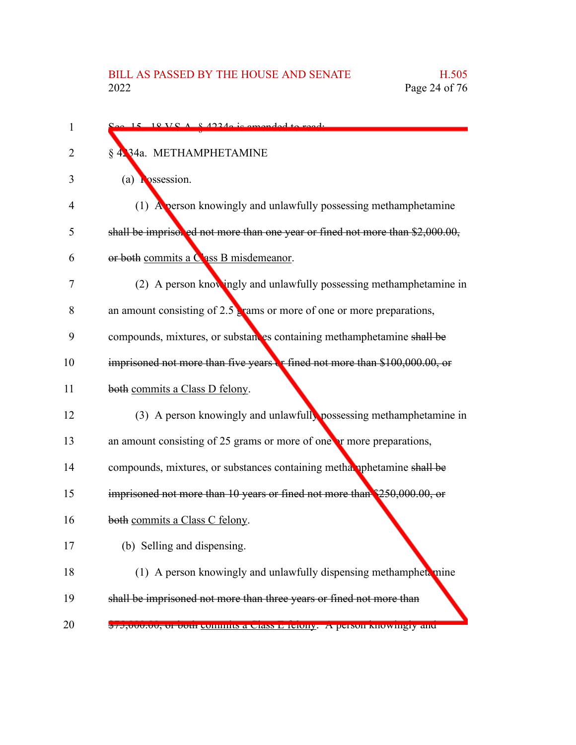| 1  | $\frac{C_{\alpha\alpha} + 15}{\alpha}$ 18 VC A 8 4224 a jc amended to read.   |
|----|-------------------------------------------------------------------------------|
| 2  | § 4234a. METHAMPHETAMINE                                                      |
| 3  | (a) $\Gamma$ ossession.                                                       |
| 4  | (1) A person knowingly and unlawfully possessing methamphetamine              |
| 5  | shall be imprisored not more than one year or fined not more than \$2,000.00, |
| 6  | or both commits a Class B misdemeanor.                                        |
| 7  | (2) A person knowingly and unlawfully possessing methamphetamine in           |
| 8  | an amount consisting of $2.5$ grams or more of one or more preparations,      |
| 9  | compounds, mixtures, or substances containing methamphetamine shall be        |
| 10 | imprisoned not more than five years or fined not more than \$100,000.00, or   |
| 11 | both commits a Class D felony.                                                |
| 12 | (3) A person knowingly and unlawfully possessing methamphetamine in           |
| 13 | an amount consisting of 25 grams or more of one or more preparations,         |
| 14 | compounds, mixtures, or substances containing methal uphetamine shall be      |
| 15 | imprisoned not more than 10 years or fined not more than \$250,000.00, or     |
| 16 | both commits a Class C felony.                                                |
|    | (b) Selling and dispensing.                                                   |
| 18 | (1) A person knowingly and unlawfully dispensing methamphet, mine             |
| 19 | shall be imprisoned not more than three years or fined not more than          |
| 20 | $\phi$ 75,000.00, or both commus a Class E reiony. A person knowingly and     |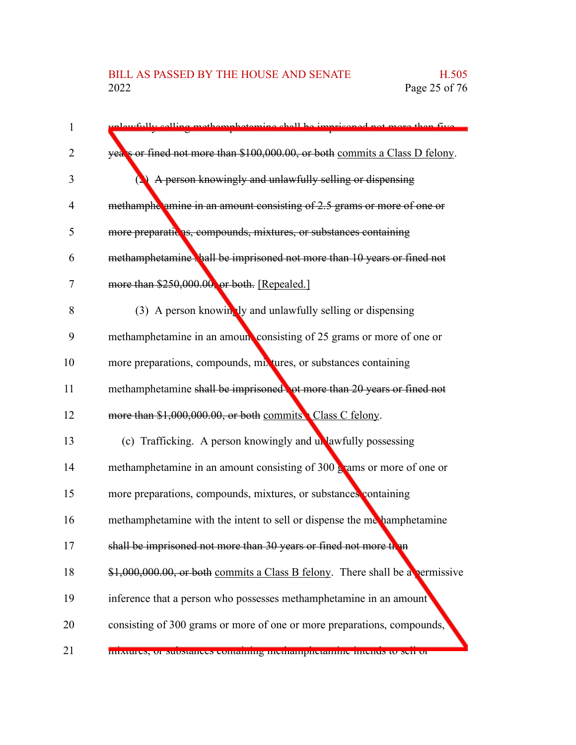# BILL AS PASSED BY THE HOUSE AND SENATE H.505<br>2022 Page 25 of 76

| 1  | unlewfully selling methemphotoming shall be imprisoned not more than five          |
|----|------------------------------------------------------------------------------------|
| 2  | years or fined not more than \$100,000.00, or both commits a Class D felony.       |
| 3  | <b>(2)</b> A person knowingly and unlawfully selling or dispensing                 |
| 4  | methamphe amine in an amount consisting of 2.5 grams or more of one or             |
| 5  | more preparatic as, compounds, mixtures, or substances containing                  |
| 6  | methamphetamine shall be imprisoned not more than 10 years or fined not            |
| 7  | more than \$250,000.00, or both. [Repealed.]                                       |
| 8  | (3) A person knowing by and unlawfully selling or dispensing                       |
| 9  | methamphetamine in an amoun consisting of 25 grams or more of one or               |
| 10 | more preparations, compounds, mixtures, or substances containing                   |
| 11 | methamphetamine shall be imprisoned to more than 20 years or fined not             |
| 12 | more than \$1,000,000.00, or both commits Class C felony.                          |
| 13 | (c) Trafficking. A person knowingly and unlawfully possessing                      |
| 14 | methamphetamine in an amount consisting of $300 \frac{1}{2}$ ams or more of one or |
| 15 | more preparations, compounds, mixtures, or substances containing                   |
| 16 | methamphetamine with the intent to sell or dispense the methamphetamine            |
| 17 | shall be imprisoned not more than 30 years or fined not more than                  |
| 18 | \$1,000,000.00, or both commits a Class B felony. There shall be a permissive      |
| 19 | inference that a person who possesses methamphetamine in an amount                 |
| 20 | consisting of 300 grams or more of one or more preparations, compounds,            |
| 21 | mixtures, or substances containing incutamprictantine intends to sen or            |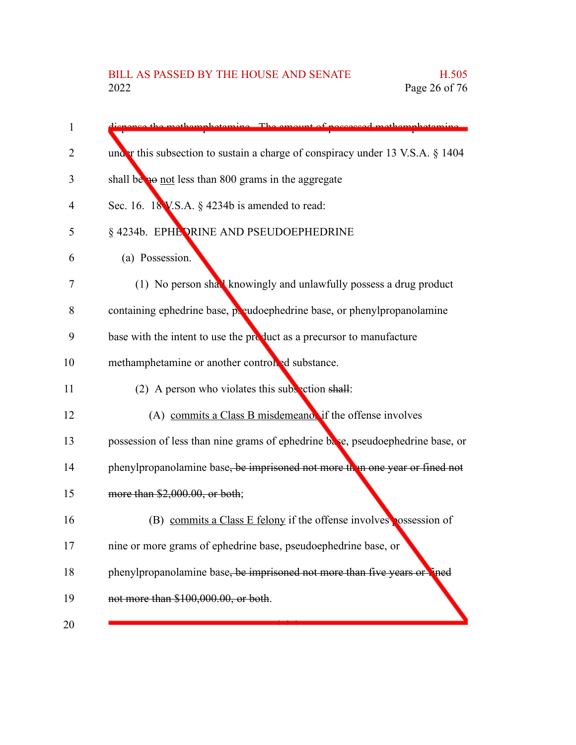| 1  | dignance the methomphotomine. The emount of necessary methomphotomine.         |
|----|--------------------------------------------------------------------------------|
| 2  | under this subsection to sustain a charge of conspiracy under 13 V.S.A. § 1404 |
| 3  | shall be not less than 800 grams in the aggregate                              |
| 4  | Sec. 16. 18 V.S.A. § 4234b is amended to read:                                 |
| 5  | § 4234b. EPHE PRINE AND PSEUDOEPHEDRINE                                        |
| 6  | (a) Possession.                                                                |
| 7  | (1) No person shall knowingly and unlawfully possess a drug product            |
| 8  | containing ephedrine base, preudoephedrine base, or phenylpropanolamine        |
| 9  | base with the intent to use the product as a precursor to manufacture          |
| 10 | methamphetamine or another controlled substance.                               |
| 11 | (2) A person who violates this subsection shall:                               |
| 12 | (A) commits a Class B misdemeanor if the offense involves                      |
| 13 | possession of less than nine grams of ephedrine base, pseudoephedrine base, or |
| 14 | phenylpropanolamine base, be imprisoned not more than one year or fined not    |
| 15 | more than \$2,000.00, or both;                                                 |
| 16 | (B) commits a Class E felony if the offense involves possession of             |
| 17 | nine or more grams of ephedrine base, pseudoephedrine base, or                 |
| 18 | phenylpropanolamine base, be imprisoned not more than five years or lined      |
| 19 | not more than \$100,000.00, or both.                                           |
| 20 |                                                                                |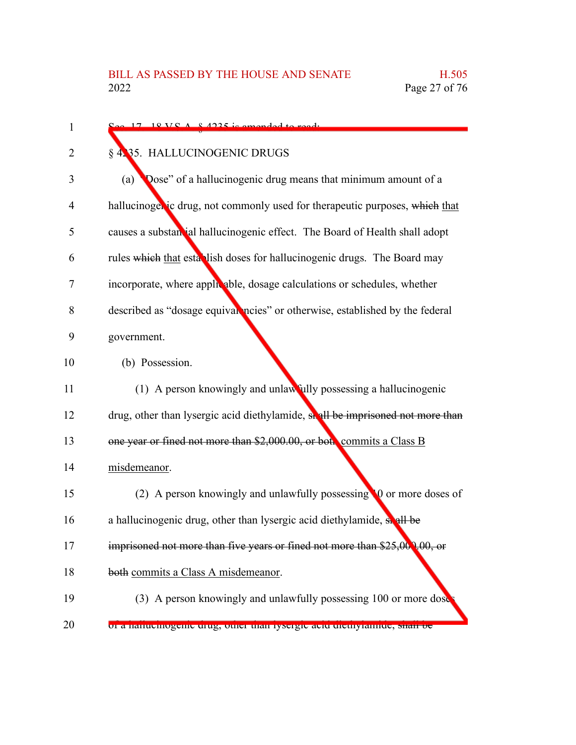| 1  | $\frac{C_{\alpha\alpha} + 17}{2}$ 18 VC A $\frac{8}{2}$ 4235 is amonded to read. |
|----|----------------------------------------------------------------------------------|
| 2  | § 4.35. HALLUCINOGENIC DRUGS                                                     |
| 3  | Dose" of a hallucinogenic drug means that minimum amount of a<br>(a)             |
| 4  | hallucinogenic drug, not commonly used for therapeutic purposes, which that      |
| 5  | causes a substantial hallucinogenic effect. The Board of Health shall adopt      |
| 6  | rules which that establish doses for hallucinogenic drugs. The Board may         |
| 7  | incorporate, where applicable, dosage calculations or schedules, whether         |
| 8  | described as "dosage equivarencies" or otherwise, established by the federal     |
| 9  | government.                                                                      |
| 10 | (b) Possession.                                                                  |
| 11 | (1) A person knowingly and unlawfully possessing a hallucinogenic                |
| 12 | drug, other than lysergic acid diethylamide, shall be imprisoned not more than   |
| 13 | one year or fined not more than \$2,000.00, or both commits a Class B            |
| 14 | misdemeanor.                                                                     |
| 15 | (2) A person knowingly and unlawfully possessing 10 or more doses of             |
| 16 | a hallucinogenic drug, other than lysergic acid diethylamide, sicall be          |
| 17 | imprisoned not more than five years or fined not more than \$25,000,00, or       |
| 18 | both commits a Class A misdemeanor.                                              |
| 19 | (3) A person knowingly and unlawfully possessing 100 or more dose                |
| 20 | of a hamachtogenic urug, other than tysergic acid uremyrannue, sharroe           |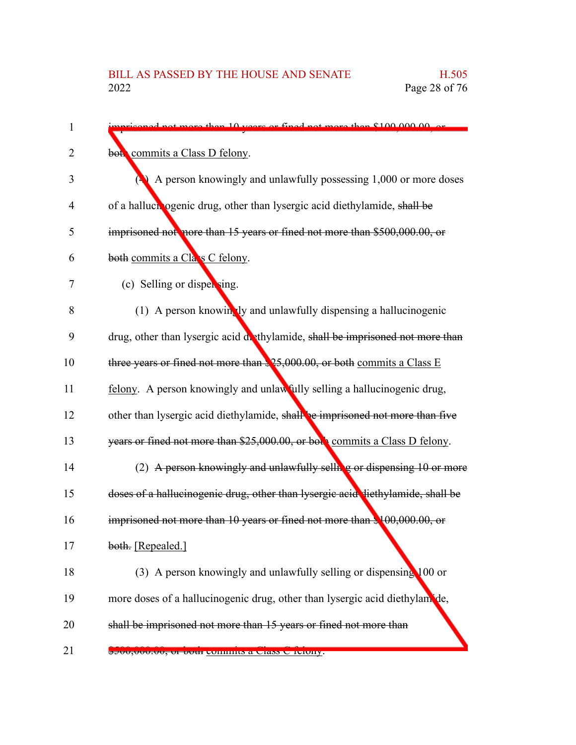| 1              | verse or fined not more than \$100,000,00 or                                                                                                                                                                                                                                                                                 |
|----------------|------------------------------------------------------------------------------------------------------------------------------------------------------------------------------------------------------------------------------------------------------------------------------------------------------------------------------|
| 2              | both commits a Class D felony.                                                                                                                                                                                                                                                                                               |
| 3              | $\triangle$ A person knowingly and unlawfully possessing 1,000 or more doses                                                                                                                                                                                                                                                 |
| $\overline{4}$ | of a halluch ogenic drug, other than lysergic acid diethylamide, shall be                                                                                                                                                                                                                                                    |
| 5              | imprisoned not nore than 15 years or fined not more than \$500,000.00, or                                                                                                                                                                                                                                                    |
| 6              | both commits a Cla s C felony.                                                                                                                                                                                                                                                                                               |
| 7              | (c) Selling or dispersing.                                                                                                                                                                                                                                                                                                   |
| 8              | (1) A person knowingly and unlawfully dispensing a hallucinogenic                                                                                                                                                                                                                                                            |
| 9              | drug, other than lysergic acid dethylamide, shall be imprisoned not more than                                                                                                                                                                                                                                                |
| 10             | three years or fined not more than $25,000.00$ , or both commits a Class E                                                                                                                                                                                                                                                   |
| 11             | felony. A person knowingly and unlawfully selling a hallucinogenic drug,                                                                                                                                                                                                                                                     |
| 12             | other than lysergic acid diethylamide, shall be imprisoned not more than five                                                                                                                                                                                                                                                |
| 13             | years or fined not more than \$25,000.00, or both commits a Class D felony.                                                                                                                                                                                                                                                  |
| 14             | (2) A person knowingly and unlawfully selling or dispensing 10 or more                                                                                                                                                                                                                                                       |
| 15             | doses of a hallucinogenic drug, other than lysergic acid diethylamide, shall be                                                                                                                                                                                                                                              |
| 16             | imprisoned not more than 10 years or fined not more than \$100,000.00, or                                                                                                                                                                                                                                                    |
| 17             | both. [Repealed.]                                                                                                                                                                                                                                                                                                            |
| 18             | (3) A person knowingly and unlawfully selling or dispensing 100 or                                                                                                                                                                                                                                                           |
| 19             | more doses of a hallucinogenic drug, other than lysergic acid diethylam de,                                                                                                                                                                                                                                                  |
| 20             | shall be imprisoned not more than 15 years or fined not more than                                                                                                                                                                                                                                                            |
| 21             | $\frac{1}{2}$ <i>j</i> $\frac{1}{2}$ $\frac{1}{2}$ $\frac{1}{2}$ $\frac{1}{2}$ $\frac{1}{2}$ $\frac{1}{2}$ $\frac{1}{2}$ $\frac{1}{2}$ $\frac{1}{2}$ $\frac{1}{2}$ $\frac{1}{2}$ $\frac{1}{2}$ $\frac{1}{2}$ $\frac{1}{2}$ $\frac{1}{2}$ $\frac{1}{2}$ $\frac{1}{2}$ $\frac{1}{2}$ $\frac{1}{2}$ $\frac{1}{2}$ $\frac{1}{2}$ |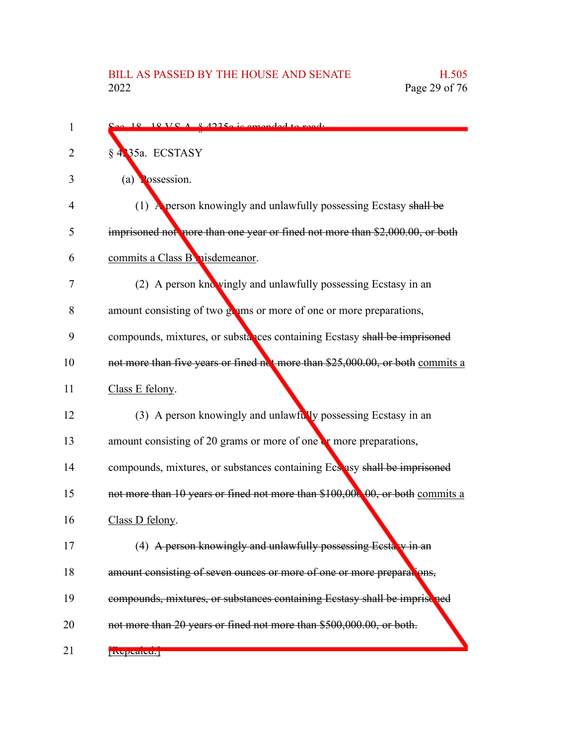| 1  | $\approx 18.18 \text{ V} \cdot \text{A} \cdot \text{A}$ 2.42350 is amended to read. |
|----|-------------------------------------------------------------------------------------|
| 2  | § 4235a. ECSTASY                                                                    |
| 3  | (a) $\log$ ssession.                                                                |
| 4  | (1) A person knowingly and unlawfully possessing Ecstasy shall be                   |
| 5  | imprisoned not nore than one year or fined not more than \$2,000.00, or both        |
| 6  | commits a Class B nisdemeanor.                                                      |
| 7  | (2) A person knowingly and unlawfully possessing Ecstasy in an                      |
| 8  | amount consisting of two grams or more of one or more preparations,                 |
| 9  | compounds, mixtures, or substances containing Ecstasy shall be imprisoned           |
| 10 | not more than five years or fined not more than \$25,000.00, or both commits a      |
| 11 | Class E felony.                                                                     |
| 12 | (3) A person knowingly and unlawfully possessing Ecstasy in an                      |
| 13 | amount consisting of 20 grams or more of one $\mathbf{r}$ more preparations,        |
| 14 | compounds, mixtures, or substances containing Ecs asy shall be imprisoned           |
| 15 | not more than 10 years or fined not more than \$100,000,00, or both commits a       |
| 16 | Class D felony.                                                                     |
| 17 | (4) A person knowingly and unlawfully possessing Ecstary in an                      |
| 18 | amount consisting of seven ounces or more of one or more preparations,              |
| 19 | compounds, mixtures, or substances containing Ecstasy shall be imprise ned          |
| 20 | not more than 20 years or fined not more than \$500,000.00, or both.                |
| 21 | <b>INCLETATION</b>                                                                  |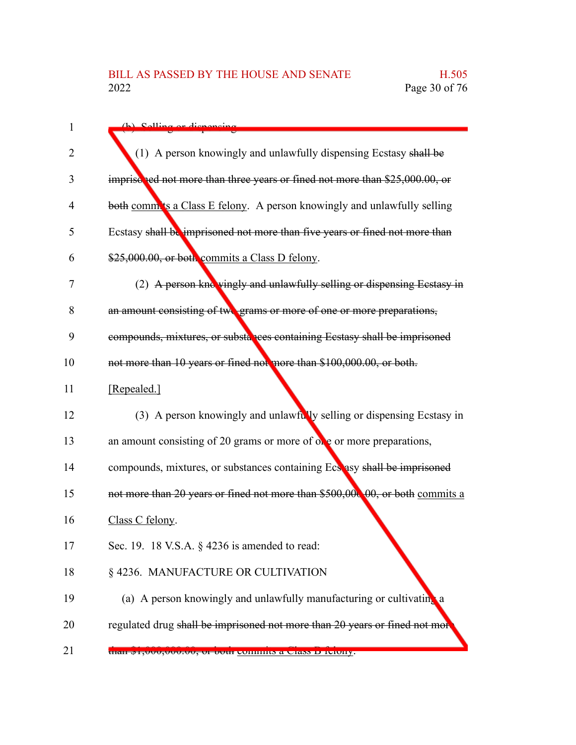| 1  | (h) Solling or disponsing                                                     |
|----|-------------------------------------------------------------------------------|
| 2  | (1) A person knowingly and unlawfully dispensing Ecstasy shall be             |
| 3  | imprisched not more than three years or fined not more than \$25,000.00, or   |
| 4  | both comm'ts a Class E felony. A person knowingly and unlawfully selling      |
| 5  | Ecstasy shall be imprisoned not more than five years or fined not more than   |
| 6  | \$25,000.00, or both commits a Class D felony.                                |
| 7  | (2) A person knc vingly and unlawfully selling or dispensing Ecstasy in       |
| 8  | an amount consisting of two grams or more of one or more preparations,        |
| 9  | compounds, mixtures, or substances containing Ecstasy shall be imprisoned     |
| 10 | not more than 10 years or fined not more than \$100,000.00, or both.          |
| 11 | [Repealed.]                                                                   |
| 12 | (3) A person knowingly and unlawfully selling or dispensing Ecstasy in        |
| 13 | an amount consisting of 20 grams or more of $\alpha$ e or more preparations,  |
| 14 | compounds, mixtures, or substances containing Ecs asy shall be imprisoned     |
| 15 | not more than 20 years or fined not more than \$500,000,00, or both commits a |
| 16 | Class C felony.                                                               |
| 17 | Sec. 19. 18 V.S.A. § 4236 is amended to read:                                 |
| 18 | § 4236. MANUFACTURE OR CULTIVATION                                            |
| 19 | (a) A person knowingly and unlawfully manufacturing or cultivating a          |
| 20 | regulated drug shall be imprisoned not more than 20 years or fined not mor    |
| 21 | than $\phi$ 1,000,000.00, or both commits a Class D feiony.                   |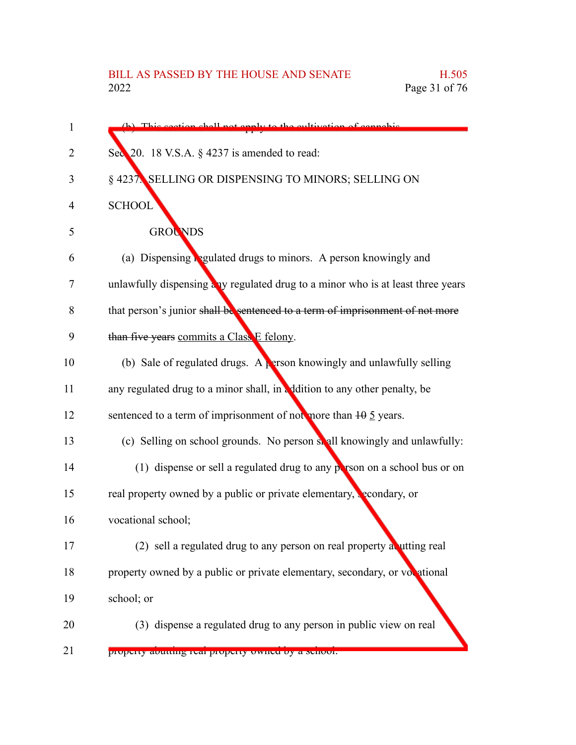| (b) This section shall not enaly to the cultivation of connabis                 |
|---------------------------------------------------------------------------------|
| Sec 20. 18 V.S.A. § 4237 is amended to read:                                    |
| § 4237. SELLING OR DISPENSING TO MINORS; SELLING ON                             |
| <b>SCHOOL</b>                                                                   |
| <b>GROUNDS</b>                                                                  |
| (a) Dispensing <b>Regulated drugs to minors.</b> A person knowingly and         |
| unlawfully dispensing any regulated drug to a minor who is at least three years |
| that person's junior shall be sentenced to a term of imprisonment of not more   |
| than five years commits a Class E felony.                                       |
| (b) Sale of regulated drugs. A <b>person knowingly and unlawfully selling</b>   |
| any regulated drug to a minor shall, in addition to any other penalty, be       |
| sentenced to a term of imprisonment of not more than $10 \frac{5}{2}$ years.    |
| (c) Selling on school grounds. No person shall knowingly and unlawfully:        |
| (1) dispense or sell a regulated drug to any person on a school bus or on       |
| real property owned by a public or private elementary, secondary, or            |
| vocational school;                                                              |
| (2) sell a regulated drug to any person on real property a utting real          |
| property owned by a public or private elementary, secondary, or vocational      |
| school; or                                                                      |
| (3) dispense a regulated drug to any person in public view on real              |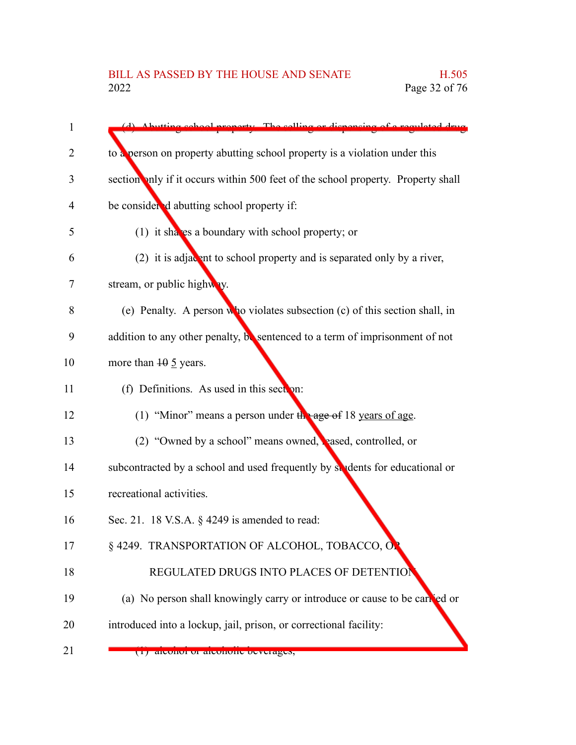| 1  | (d) Abutting school property. The selling or dispensing of a regulated drug      |
|----|----------------------------------------------------------------------------------|
| 2  | to a person on property abutting school property is a violation under this       |
| 3  | section anly if it occurs within 500 feet of the school property. Property shall |
| 4  | be considered abutting school property if:                                       |
| 5  | (1) it shaves a boundary with school property; or                                |
| 6  | (2) it is adjacent to school property and is separated only by a river,          |
| 7  | stream, or public highway.                                                       |
| 8  | (e) Penalty. A person who violates subsection $(c)$ of this section shall, in    |
| 9  | addition to any other penalty, be sentenced to a term of imprisonment of not     |
| 10 | more than $10 \frac{5}{2}$ years.                                                |
| 11 | (f) Definitions. As used in this section:                                        |
| 12 | (1) "Minor" means a person under $\frac{1}{2}$ age of 18 years of age.           |
| 13 | (2) "Owned by a school" means owned, reased, controlled, or                      |
| 14 | subcontracted by a school and used frequently by students for educational or     |
| 15 | recreational activities.                                                         |
| 16 | Sec. 21. 18 V.S.A. § 4249 is amended to read:                                    |
| 17 | § 4249. TRANSPORTATION OF ALCOHOL, TOBACCO, OP                                   |
| 18 | REGULATED DRUGS INTO PLACES OF DETENTION                                         |
| 19 | (a) No person shall knowingly carry or introduce or cause to be canced or        |
| 20 | introduced into a lockup, jail, prison, or correctional facility:                |
| 21 | (1) alconol of alconolly beverages,                                              |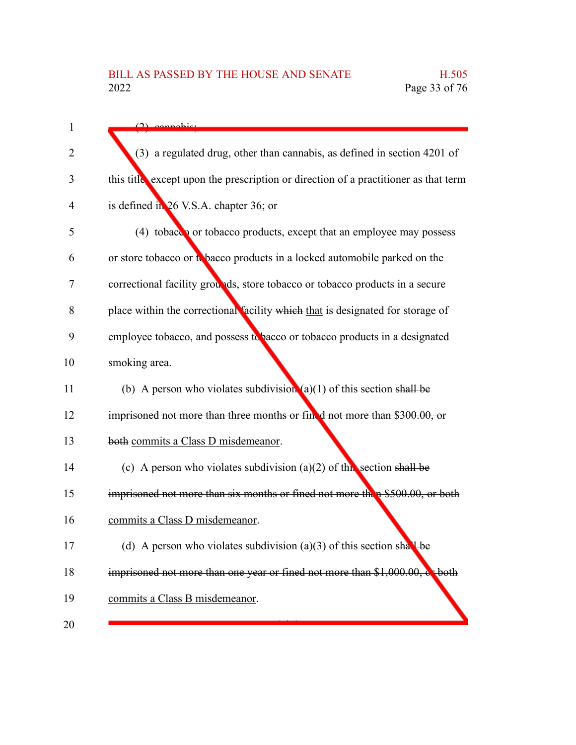| 1  | $(2)$ connobid                                                                      |
|----|-------------------------------------------------------------------------------------|
| 2  | (3) a regulated drug, other than cannabis, as defined in section 4201 of            |
|    |                                                                                     |
| 3  | this title except upon the prescription or direction of a practitioner as that term |
| 4  | is defined in 26 V.S.A. chapter 36; or                                              |
| 5  | (4) tobacco or tobacco products, except that an employee may possess                |
| 6  | or store tobacco or to bacco products in a locked automobile parked on the          |
| 7  | correctional facility grounds, store tobacco or tobacco products in a secure        |
| 8  | place within the correctional facility which that is designated for storage of      |
| 9  | employee tobacco, and possess to bacco or tobacco products in a designated          |
| 10 | smoking area.                                                                       |
| 11 | (b) A person who violates subdivision $(a)(1)$ of this section shall be             |
| 12 | imprisoned not more than three months or fined not more than \$300.00, or           |
| 13 | both commits a Class D misdemeanor.                                                 |
| 14 | (c) A person who violates subdivision (a)(2) of this section shall be               |
| 15 | imprisoned not more than six months or fined not more then \$500.00, or both        |
| 16 | commits a Class D misdemeanor.                                                      |
| 17 | (d) A person who violates subdivision (a)(3) of this section shall be               |
| 18 | imprisoned not more than one year or fined not more than \$1,000.00, or both        |
| 19 | commits a Class B misdemeanor.                                                      |
| 20 |                                                                                     |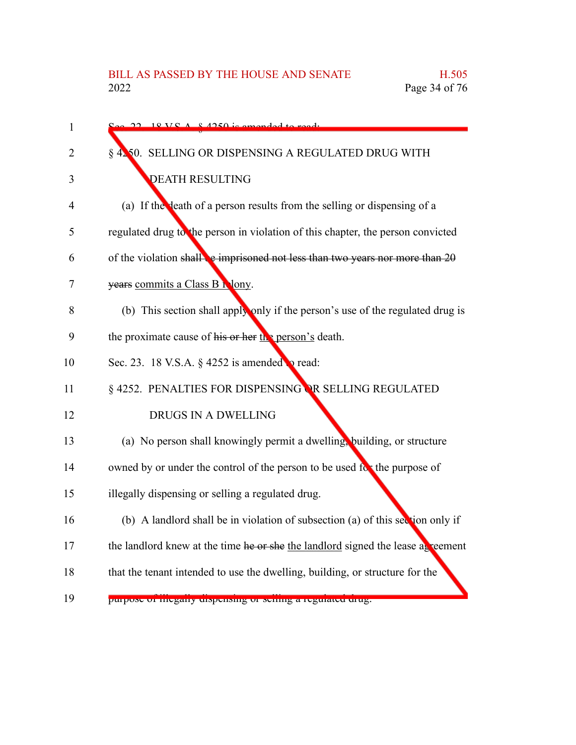| $\mathbf{1}$ | $18 V S A 8 4250$ is amonded to                                                  |
|--------------|----------------------------------------------------------------------------------|
| 2            | 1250. SELLING OR DISPENSING A REGULATED DRUG WITH                                |
| 3            | <b>DEATH RESULTING</b>                                                           |
| 4            | (a) If the death of a person results from the selling or dispensing of a         |
| 5            | regulated drug to the person in violation of this chapter, the person convicted  |
| 6            | of the violation shall be imprisoned not less than two years nor more than $20$  |
| 7            | years commits a Class B Nony.                                                    |
| 8            | (b) This section shall apply only if the person's use of the regulated drug is   |
| 9            | the proximate cause of his or her $\ln$ person's death.                          |
| 10           | Sec. 23. 18 V.S.A. § 4252 is amended to read:                                    |
| 11           | § 4252. PENALTIES FOR DISPENSING OR SELLING REGULATED                            |
| 12           | DRUGS IN A DWELLING                                                              |
| 13           | (a) No person shall knowingly permit a dwelling, building, or structure          |
| 14           | owned by or under the control of the person to be used for the purpose of        |
| 15           | illegally dispensing or selling a regulated drug.                                |
| 16           | (b) A landlord shall be in violation of subsection (a) of this section only if   |
| 17           | the landlord knew at the time he or she the landlord signed the lease as reement |
| 18           | that the tenant intended to use the dwelling, building, or structure for the     |
| 19           | ригром от пістану спяреняще от менше а гедикиси си пе.                           |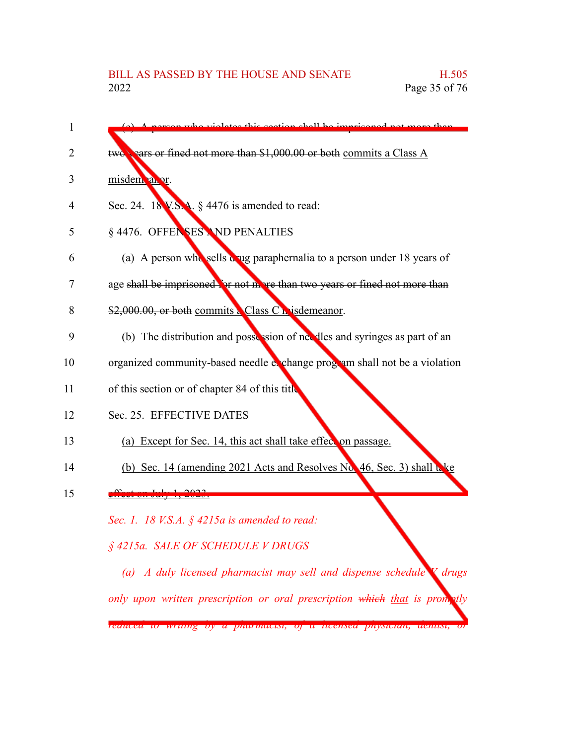(c) A person who violates this section shall be imprisoned not more than two years or fined not more than \$1,000.00 or both commits a Class A misdem anor. Sec. 24. 18 V.S.A. § 4476 is amended to read: § 4476. OFFENSES AND PENALTIES (a) A person who sells a ug paraphernalia to a person under 18 years of age shall be imprisoned for not more than two years or fined not more than \$2,000.00, or both commits a Class C misdemeanor. (b) The distribution and possession of needles and syringes as part of an organized community-based needle exchange program shall not be a violation of this section or of chapter 84 of this title. Sec. 25. EFFECTIVE DATES (a) Except for Sec. 14, this act shall take effect on passage. (b) Sec. 14 (amending 2021 Acts and Resolves No. 46, Sec. 3) shall take effect on July 1, 2023. *Sec. 1. 18 V.S.A. § 4215a is amended to read: § 4215a. SALE OF SCHEDULE V DRUGS (a) A duly licensed pharmacist may sell and dispense schedule V drugs only upon written prescription or oral prescription which that is promptly reduced to writing by a pharmacist, of a licensed physician, dentist, or* 1  $\mathfrak{D}$ 3 4 5 6 7 8 9 10 11 12 13 14 15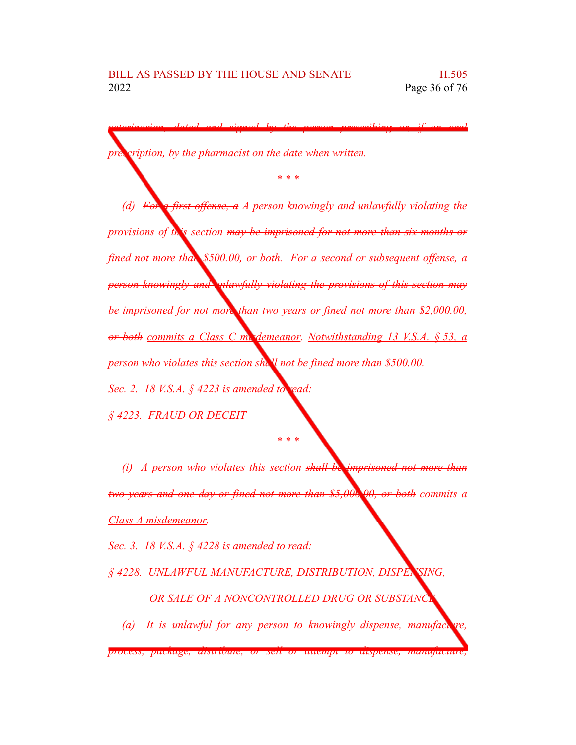*pription, by the pharmacist on the date when written.* 

*(d) For a first offense, a A person knowingly and unlawfully violating the provisions of this section may be imprisoned for not more than six months or fined not more than \$500.00, or both. For a second or subsequent offense, a person knowingly and unlawfully violating the provisions of this section may be imprisoned for not more than two years or fined not more than \$2,000.00, or both commits a Class C misdemeanor. Notwithstanding 13 V.S.A. § 53, a person who violates this section shall not be fined more than \$500.00. Sec. 2. 18 V.S.A. § 4223 is amended to read:*

*veterinarian, dated and signed by the person prescribing or, if an oral*

*\* \* \**

*§ 4223. FRAUD OR DECEIT*

*(i) A person who violates this section shall be imprisoned not more than two years and one day or fined not more than \$5,000.00, or both commits a Class A misdemeanor.*

*\* \* \**

*Sec. 3. 18 V.S.A. § 4228 is amended to read:*

*§ 4228. UNLAWFUL MANUFACTURE, DISTRIBUTION, DISPENSING,* **OR SALE OF A NONCONTROLLED DRUG OR SUBSTANCE** 

*(a)* It is unlawful for any person to knowingly dispense, manufacture,

*process, package, distribute, or sell or attempt to dispense, manufacture,*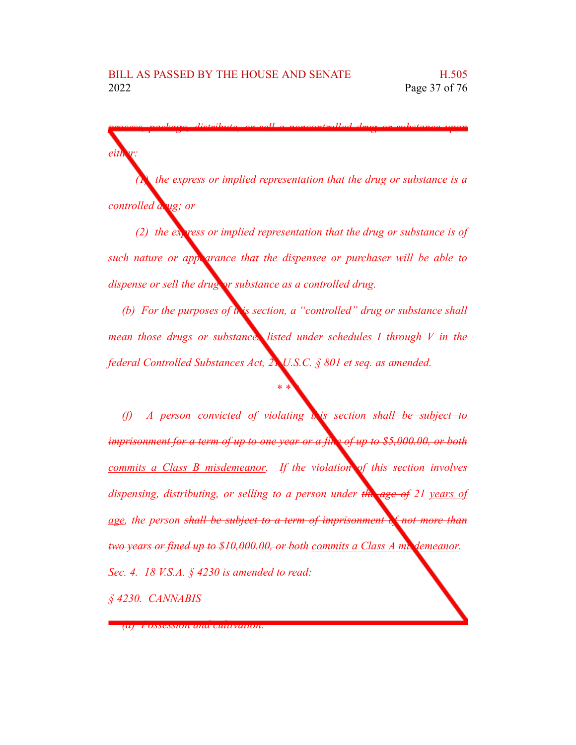*(1) the express or implied representation that the drug or substance is a controlled drug; or*

*process, package, distribute, or sell a noncontrolled drug or substance upon*

*(2) the express or implied representation that the drug or substance is of such nature or appearance that the dispensee or purchaser will be able to dispense or sell the drug or substance as a controlled drug.*

*(b) For the purposes of this section, a "controlled" drug or substance shall mean those drugs or substances listed under schedules I through V in the federal Controlled Substances Act, 21 U.S.C. § 801 et seq. as amended.*

*\* \* \**

*(f) A person convicted of violating this section shall be subject to imprisonment for a term of up to one year or a fine of up to \$5,000.00, or both commits a Class B misdemeanor. If the violation of this section involves dispensing, distributing, or selling to a person under the age of 21 years of age, the person shall be subject to a term of imprisonment of not more than two years or fined up to \$10,000.00, or both commits a Class A mix demeanor. Sec. 4. 18 V.S.A. § 4230 is amended to read:*

*§ 4230. CANNABIS*

*either:*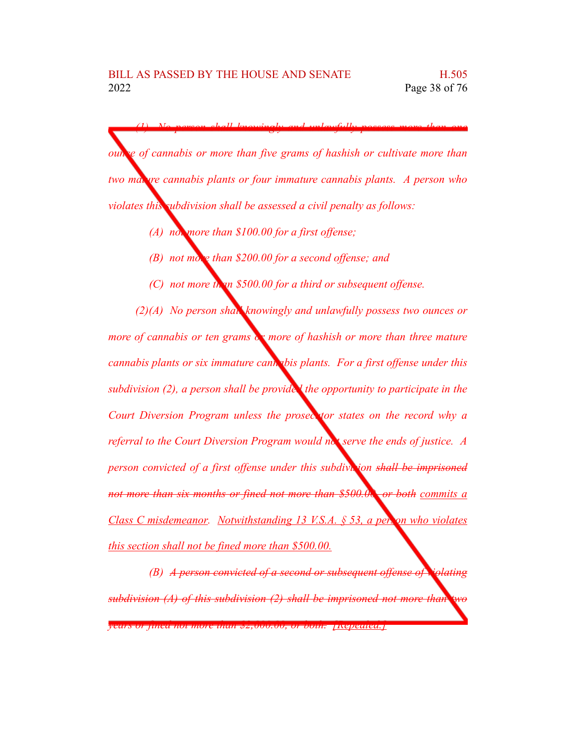*(1) No person shall knowingly and unlawfully possess more than one ounce of cannabis or more than five grams of hashish or cultivate more than two mature cannabis plants or four immature cannabis plants. A person who violates this subdivision shall be assessed a civil penalty as follows:*

- *(A) not more than \$100.00 for a first offense;*
- *(B) not more than \$200.00 for a second offense; and*
- *(C) not more than \$500.00 for a third or subsequent offense.*

*(2)(A) No person shall knowingly and unlawfully possess two ounces or more of cannabis or ten grams or more of hashish or more than three mature cannabis plants or six immature cannabis plants. For a first offense under this subdivision (2), a person shall be provided the opportunity to participate in the Court Diversion Program unless the prosecutor states on the record why a referral to the Court Diversion Program would not serve the ends of justice. A person convicted of a first offense under this subdivision shall be imprisoned not more than six months or fined not more than \$500.00, or both commits a Class C misdemeanor. Notwithstanding 13 V.S.A. § 53, a person who violates this section shall not be fined more than \$500.00.*

*(B) A person convicted of a second or subsequent offense of violating subdivision (A) of this subdivision (2) shall be imprisoned not more than two years or fined not more than \$2,000.00, or both. [Repealed.]*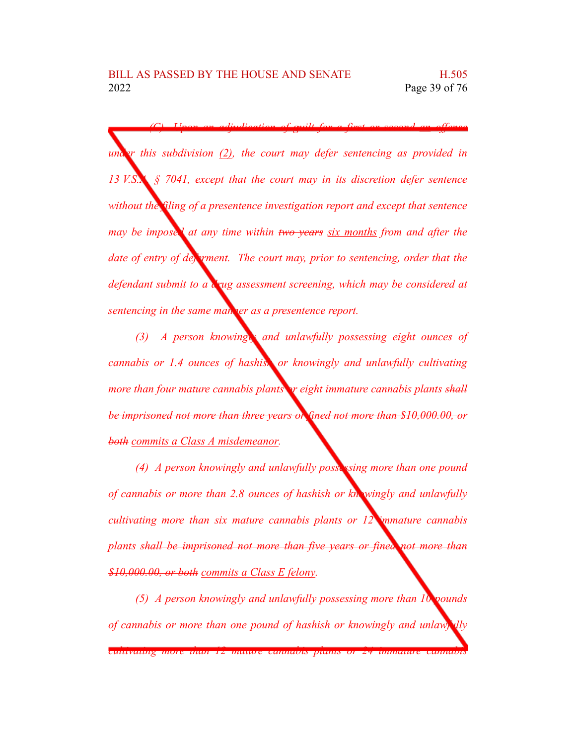*(C) Upon an adjudication of guilt for a first or second an offense u*<sub>*u*</sub> *this subdivision* (2), *the court may defer sentencing as provided in 13 V.S.A. § 7041, except that the court may in its discretion defer sentence without the filing of a presentence investigation report and except that sentence may be imposed at any time within two years six months from and after the date of entry of deferment. The court may, prior to sentencing, order that the defendant submit to a drug assessment screening, which may be considered at sentencing in the same manner as a presentence report.*

*(3) A person knowingly and unlawfully possessing eight ounces of cannabis or 1.4 ounces of hashish or knowingly and unlawfully cultivating more than four mature cannabis plants or eight immature cannabis plants shall be imprisoned not more than three years or fined not more than \$10,000.00, or both commits a Class A misdemeanor.*

*(4) A person knowingly and unlawfully possessing more than one pound of cannabis or more than 2.8 ounces of hashish or knowingly and unlawfully cultivating more than six mature cannabis plants or 12 immature cannabis plants shall be imprisoned not more than five years or fined not more than \$10,000.00, or both commits a Class E felony.*

*(5) A person knowingly and unlawfully possessing more than 10 pounds of cannabis or more than one pound of hashish or knowingly and unlawfully*

*cultivating more than 12 mature cannabis plants or 24 immature cannabis*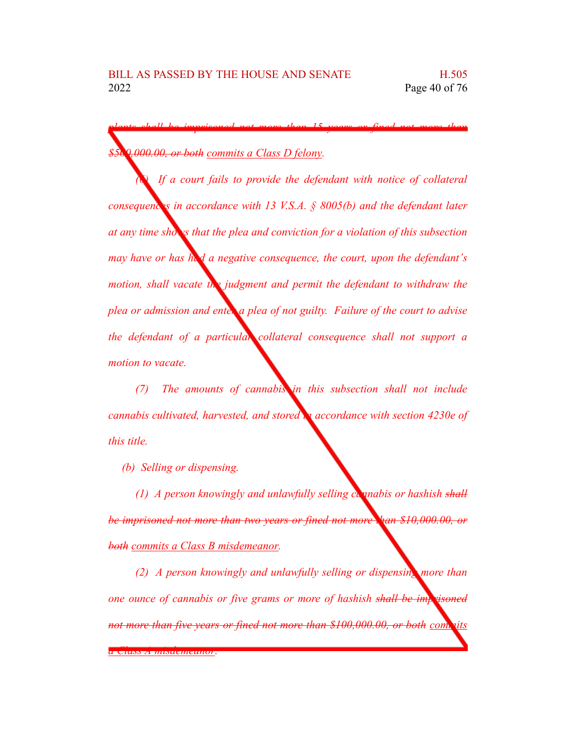*plants shall be imprisoned not more than 15 years or fined not more than \$500,000.00, or both commits a Class D felony.*

*(6) If a court fails to provide the defendant with notice of collateral consequences in accordance with 13 V.S.A. § 8005(b) and the defendant later at any time shows that the plea and conviction for a violation of this subsection may have or has had a negative consequence, the court, upon the defendant's motion, shall vacate the judgment and permit the defendant to withdraw the plea or admission and enter a plea of not guilty. Failure of the court to advise the defendant of a particular collateral consequence shall not support a motion to vacate.*

*(7) The amounts of cannabis in this subsection shall not include cannabis cultivated, harvested, and stored in accordance with section 4230e of this title.*

*(b) Selling or dispensing.*

*(1) A person knowingly and unlawfully selling cannabis or hashish shall be imprisoned not more than two years or fined not more than \$10,000.00, or both commits a Class B misdemeanor.*

*(2) A person knowingly and unlawfully selling or dispensing more than one ounce of cannabis or five grams or more of hashish shall be imprisoned not more than five years or fined not more than \$100,000.00, or both commits*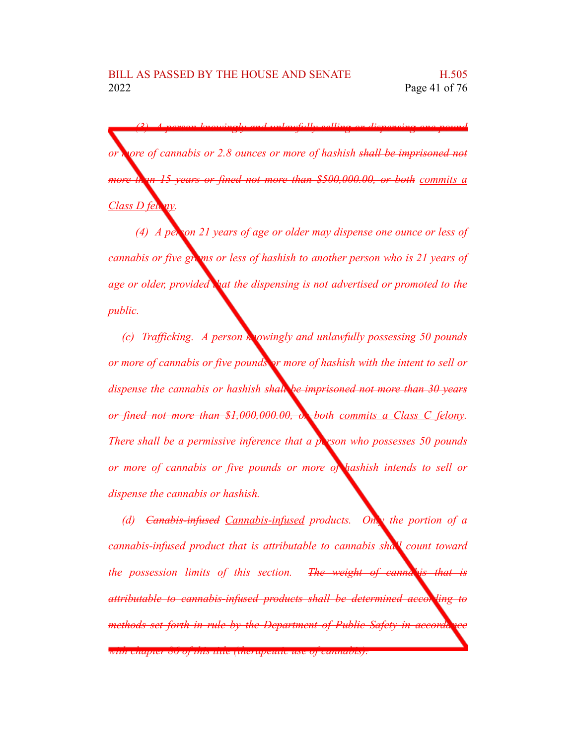*(3) A person knowingly and unlawfully selling or dispensing one pound or more of cannabis or 2.8 ounces or more of hashish shall be imprisoned not more than 15 years or fined not more than \$500,000.00, or both commits a Class D felony.*

*(4) A person 21 years of age or older may dispense one ounce or less of cannabis or five grams or less of hashish to another person who is 21 years of age or older, provided that the dispensing is not advertised or promoted to the public.*

*(c) Trafficking. A person knowingly and unlawfully possessing 50 pounds or more of cannabis or five pounds or more of hashish with the intent to sell or dispense the cannabis or hashish shall be imprisoned not more than 30 years or fined not more than \$1,000,000.00, or both commits a Class C felony. There shall be a permissive inference that a person who possesses 50 pounds or more of cannabis or five pounds or more of hashish intends to sell or dispense the cannabis or hashish.*

*(d) Canabis-infused Cannabis-infused products. Only the portion of a cannabis-infused product that is attributable to cannabis shall count toward the possession limits of this section. The weight of cannabis that is attributable to cannabis-infused products shall be determined according to the <i>according of to determined according to the interiment methods set forth in rule by the Department of Public Safety in accordance in the <i>pepartment of Public Safety in accorda* 

*with chapter 86 of this title (therapeutic use of cannabis).*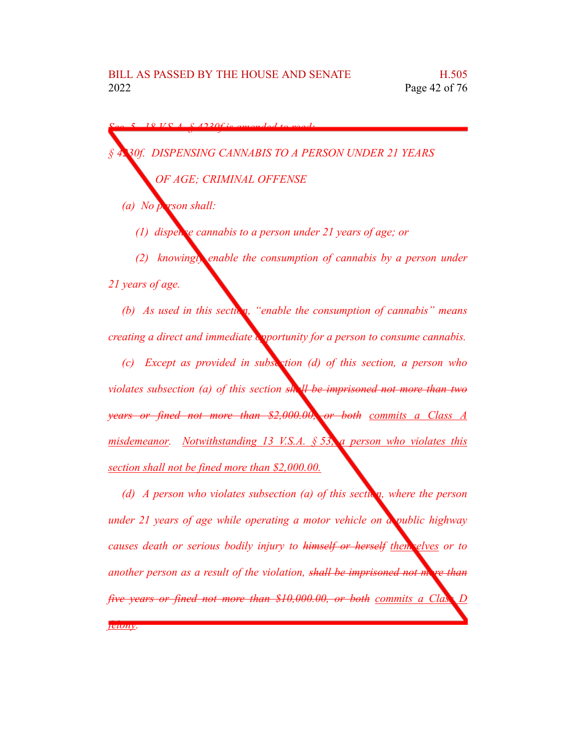*Sec. 5. 18 V.S.A. § 4230f is amended to read:*

*§ 4230f. DISPENSING CANNABIS TO A PERSON UNDER 21 YEARS*

*OF AGE; CRIMINAL OFFENSE*

*(a) No person shall:*

*(1) dispense cannabis to a person under 21 years of age; or*

*(2) knowingly enable the consumption of cannabis by a person under 21 years of age.*

*(b) As used in this section,* "*enable the consumption of cannabis*" *means creating a direct and immediate opportunity for a person to consume cannabis.*

*(c) Except as provided in subsection (d) of this section, a person who violates subsection (a) of this section shall be imprisoned not more than two years or fined not more than \$2,000.00, or both commits a Class A misdemeanor. Notwithstanding 13 V.S.A. § 53, a person who violates this section shall not be fined more than \$2,000.00.*

*(d) A person who violates subsection (a) of this section, where the person under 21 years of age while operating a motor vehicle on a public highway causes death or serious bodily injury to himself or herself themselves or to another person as a result of the violation, shall be imprisoned not more than five years or fined not more than \$10,000.00, or both commits a Class* 

*felony.*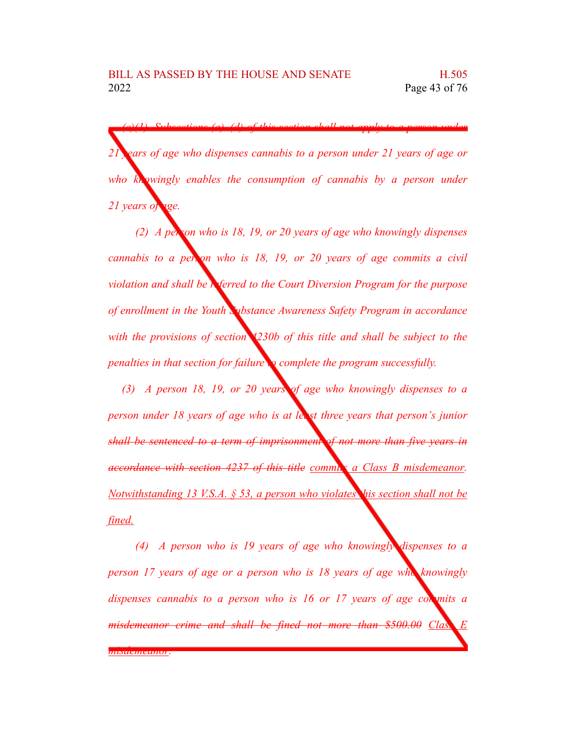*(e)(1) Subsections (a)–(d) of this section shall not apply to a person under 21 years of age who dispenses cannabis to a person under 21 years of age or who knowingly enables the consumption of cannabis by a person under 21 years of age.*

*(2) A person who is 18, 19, or 20 years of age who knowingly dispenses cannabis to a person who is 18, 19, or 20 years of age commits a civil violation and shall be referred to the Court Diversion Program for the purpose of enrollment in the Youth Substance Awareness Safety Program in accordance with the provisions of section 4230b of this title and shall be subject to the penalties in that section for failure to complete the program successfully.*

*(3) A person 18, 19, or 20 years of age who knowingly dispenses to a person under 18 years of age who is at least three years that person's junior shall be sentenced to a term of imprisonment of not more than five years in accordance with section 4237 of this title commits a Class B misdemeanor. Notwithstanding 13 V.S.A. § 53, a person who violates this section shall not be fined.*

*(4) A person who is 19 years of age who knowingly dispenses to a person 17 years of age or a person who is 18 years of age who knowingly dispenses cannabis to a person who is 16 or 17 years of age commits a misdemeanor crime and shall be fined not more than* \$500.00 *Class misdemeanor.*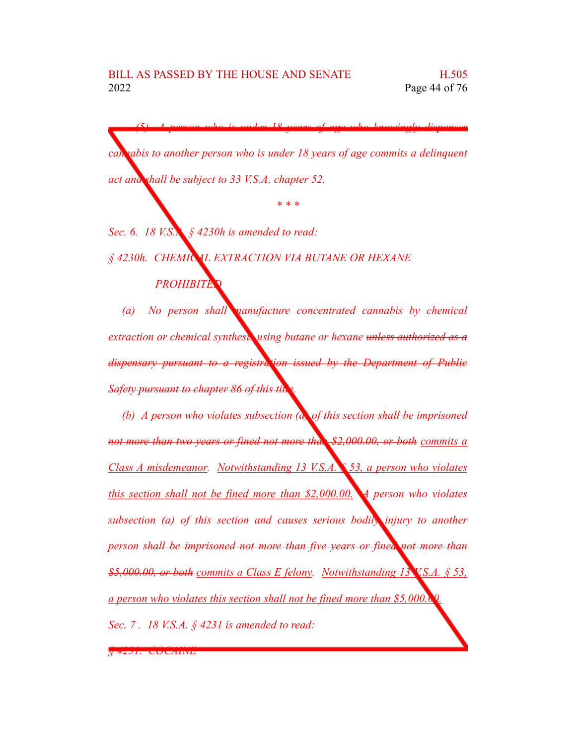*(5) A person who is under 18 years of age who knowingly dispenses cannabis to another person who is under 18 years of age commits a delinquent act and shall be subject to 33 V.S.A. chapter 52.*

*\* \* \**

*Sec. 6. 18 V.S.A. § 4230h is amended to read:*

*§ 4230h. CHEMICAL EXTRACTION VIA BUTANE OR HEXANE PROHIBITED*

*(a) No person shall manufacture concentrated cannabis by chemical extraction or chemical synthesis using butane or hexane unless authorized as a dispensary pursuant to a registration issued by the Department of Public Safety pursuant to chapter 86 of this title.*

*(b) A person who violates subsection (a) of this section shall be imprisoned not more than two years or fined not more than \$2,000.00, or both commits a Class A misdemeanor. Notwithstanding 13 V.S.A. § 53, a person who violates this section shall not be fined more than \$2,000.00. A person who violates subsection (a) of this section and causes serious bodily injury to another person shall be imprisoned not more than five years or fined not more than \$5,000.00, or both commits a Class E felony. Notwithstanding 13 V.S.A. § 53, a person who violates this section shall not be fined more than \$5,000.00. Sec. 7 . 18 V.S.A. § 4231 is amended to read:*

*§ 4231. COCAINE*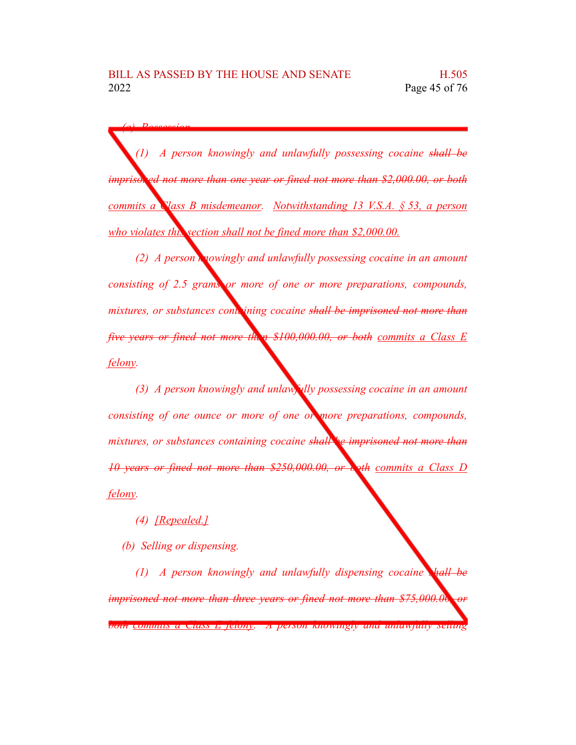*(1) A person knowingly and unlawfully possessing cocaine shall be imprisoned not more than one year or fined not more than \$2,000.00, or both commits a Class B misdemeanor. Notwithstanding 13 V.S.A. § 53, a person who violates this section shall not be fined more than \$2,000.00.*

*(2) A person knowingly and unlawfully possessing cocaine in an amount consisting of 2.5 grams or more of one or more preparations, compounds, mixtures, or substances containing cocaine shall be imprisoned not more than five years or fined not more than \$100,000.00, or both commits a Class E felony.*

*(3) A person knowingly and unlawfully possessing cocaine in an amount consisting of one ounce or more of one or more preparations, compounds, mixtures, or substances containing cocaine shall be imprisoned not more than 10 years or fined not more than \$250,000.00, or both commits a Class D felony.*

*(4) [Repealed.]*

*(a) Possession.*

*(b) Selling or dispensing.*

*(1) A person knowingly and unlawfully dispensing cocaine shall be imprisoned not more than three years or fined not more than \$75,000.00, or both commits a Class E felony. A person knowingly and unlawfully selling*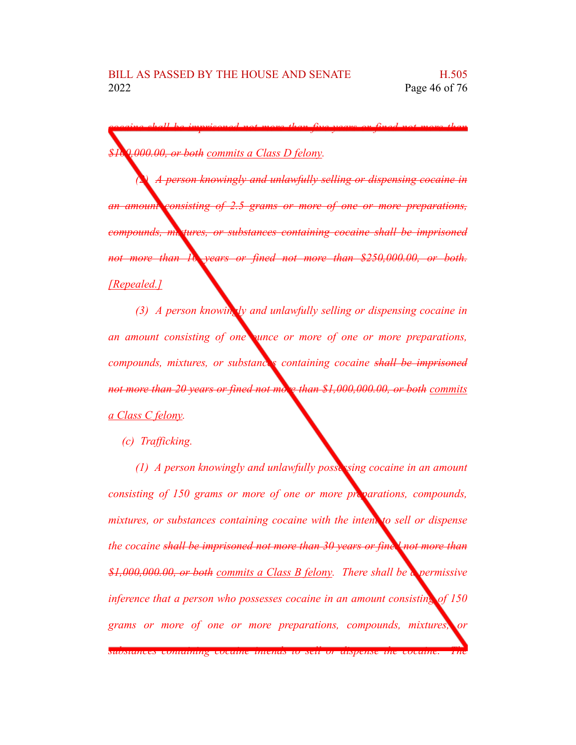*cocaine shall be imprisoned not more than five years or fined not more than \$100,000.00, or both commits a Class D felony.*

*(2) A person knowingly and unlawfully selling or dispensing cocaine in an amount consisting of 2.5 grams or more of one or more preparations, compounds, mixtures, or substances containing cocaine shall be imprisoned not more than 10 years or fined not more than \$250,000.00, or both. [Repealed.]*

*(3) A person knowingly and unlawfully selling or dispensing cocaine in an amount consisting of one ounce or more of one or more preparations, compounds, mixtures, or substances containing cocaine shall be imprisoned not more than 20 years or fined not more than \$1,000,000.00, or both commits a Class C felony.*

*(c) Trafficking.*

*(1) A person knowingly and unlawfully possessing cocaine in an amount consisting of 150 grams or more of one or more preparations, compounds, mixtures, or substances containing cocaine with the intent to sell or dispense the cocaine shall be imprisoned not more than 30 years or fined not more than \$1,000,000.00, or both commits a Class B felony. There shall be a permissive inference that a person who possesses cocaine in an amount consisting of 150 grams or more of one or more preparations, compounds, mixtures, or substances containing cocaine intends to sell or dispense the cocaine. The*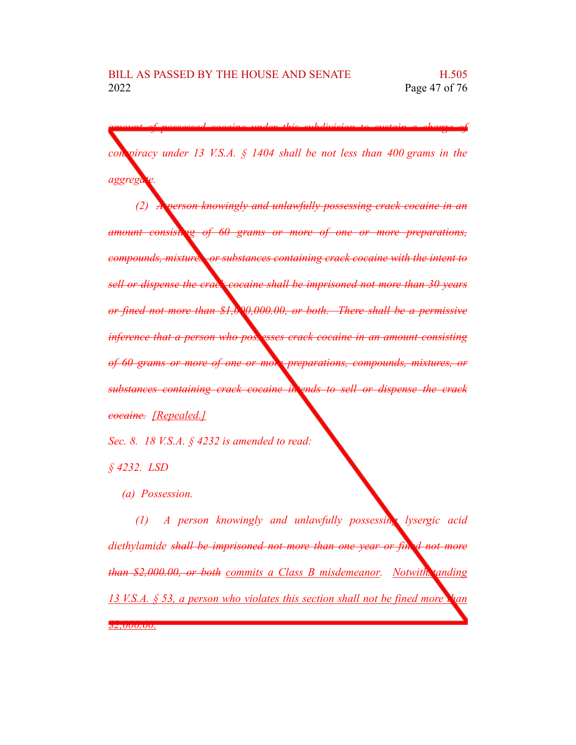*amount of possessed cocaine under this subdivision to sustain a charge of conspiracy under 13 V.S.A. § 1404 shall be not less than 400 grams in the*

*(2) A person knowingly and unlawfully possessing crack cocaine in an amount consisting of 60 grams or more of one or more preparations, compounds, mixtures, or substances containing crack cocaine with the intent to sell or dispense the crack cocaine shall be imprisoned not more than 30 years or fined not more than \$1,000,000.00, or both. There shall be a permissive inference that a person who possess crack cocaine in an amount consisting of 60 grams or more of one or more preparations, compounds, mixtures, or substances containing crack cocaine intends to sell or dispense the crack cocaine. [Repealed.]*

*Sec. 8. 18 V.S.A. § 4232 is amended to read:*

*§ 4232. LSD*

*aggregate.*

*(a) Possession.*

*(1) A person knowingly and unlawfully possessing lysergic acid diethylamide shall be imprisoned not more than one year or fined not more than \$2,000.00, or both commits a Class B misdemeanor. Notwithstanding 13 V.S.A. § 53, a person who violates this section shall not be fined more than \$2,000.00.*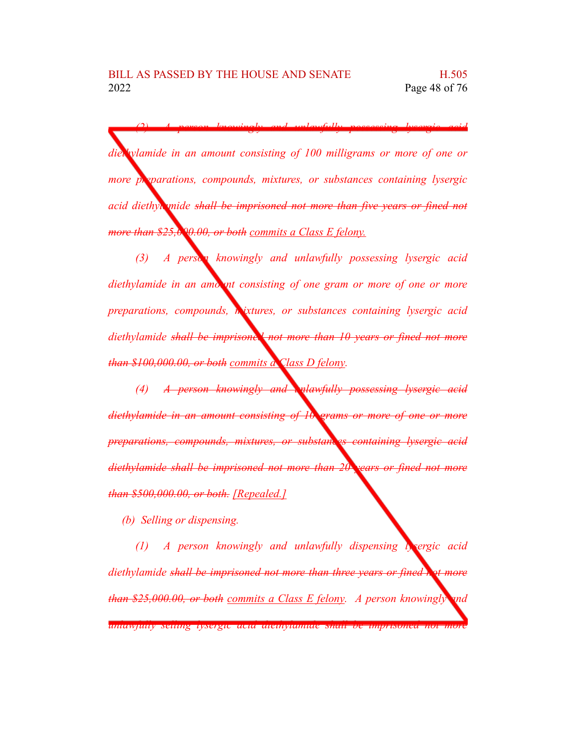*(2) A person knowingly and unlawfully possessing lysergic acid diethylamide in an amount consisting of 100 milligrams or more of one or more preparations, compounds, mixtures, or substances containing lysergic acid diethylamide shall be imprisoned not more than five years or fined not more than \$25,000.00, or both commits a Class E felony.*

*(3) A person knowingly and unlawfully possessing lysergic acid diethylamide in an amount consisting of one gram or more of one or more preparations, compounds, mixtures, or substances containing lysergic acid diethylamide shall be imprisoned not more than 10 years or fined not more than \$100,000.00, or both commits a Class D felony.*

*(4) A person knowingly and unlawfully possessing lysergic acid diethylamide in an amount consisting of 10 grams or more of one or more preparations, compounds, mixtures, or substances containing lysergic acid diethylamide shall be imprisoned not more than 20 years or fined not more than \$500,000.00, or both. [Repealed.]*

*(b) Selling or dispensing.*

*(1) A person knowingly and unlawfully dispensing lysergic acid diethylamide shall be imprisoned not more than three years or fined not more than \$25,000.00, or both commits a Class E felony. A person knowingly and unlawfully selling lysergic acid diethylamide shall be imprisoned not more*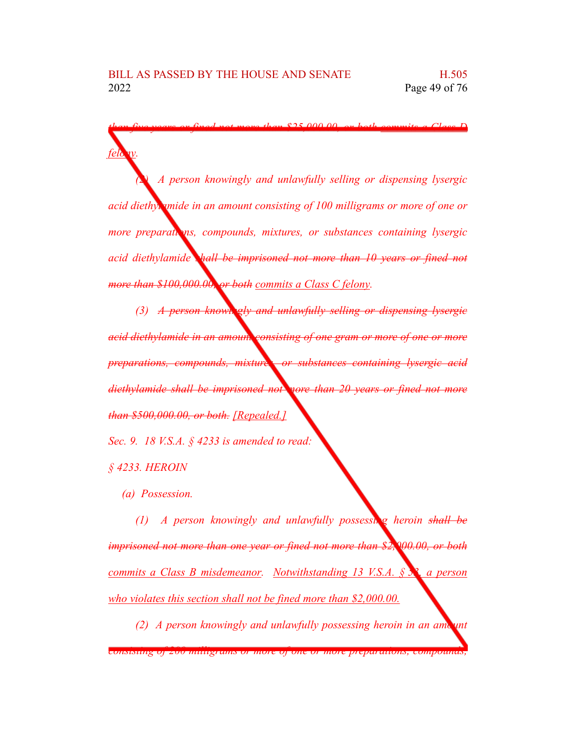*felony. (2) A person knowingly and unlawfully selling or dispensing lysergic acid diethylamide in an amount consisting of 100 milligrams or more of one or more preparations, compounds, mixtures, or substances containing lysergic acid diethylamide shall be imprisoned not more than 10 years or fined not more than \$100,000.00, or both commits a Class C felony.*

*than five years or fined not more than \$25,000.00, or both commits a Class D*

*(3) A person knowingly and unlawfully selling or dispensing lysergic acid diethylamide in an amount consisting of one gram or more of one or more preparations, compounds, mixtures, or substances containing lysergic acid diethylamide shall be imprisoned not more than 20 years or fined not more than \$500,000.00, or both. [Repealed.]*

*Sec. 9. 18 V.S.A. § 4233 is amended to read:*

*§ 4233. HEROIN*

*(a) Possession.*

*(1) A person knowingly and unlawfully possessing heroin shall be imprisoned not more than one year or fined not more than \$2,000.00, or both commits a Class B misdemeanor. Notwithstanding 13 V.S.A. § 53, a person who violates this section shall not be fined more than \$2,000.00.*

*(2) A person knowingly and unlawfully possessing heroin in an amount consisting of 200 milligrams or more of one or more preparations, compounds,*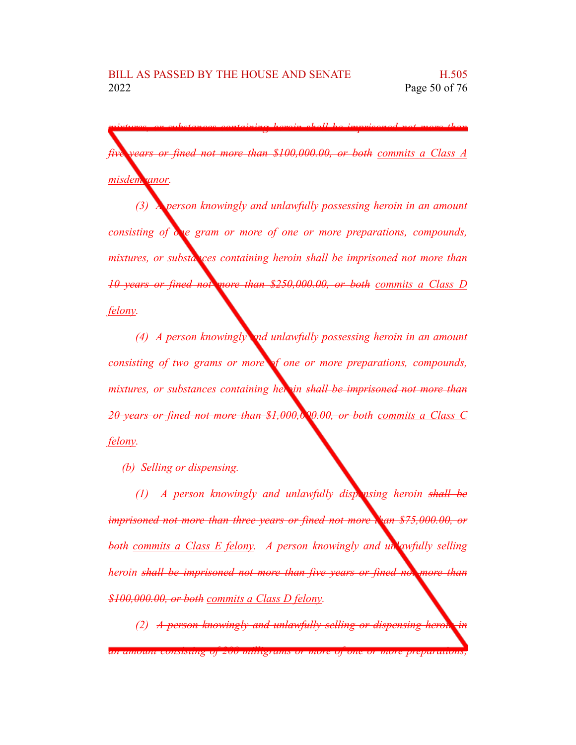*mixtures, or substances containing heroin shall be imprisoned not more than five years or fined not more than \$100,000.00, or both commits a Class A* misdem *anor*.

*(3) A person knowingly and unlawfully possessing heroin in an amount consisting of one gram or more of one or more preparations, compounds, mixtures, or substances containing heroin shall be imprisoned not more than 10 years or fined not more than \$250,000.00, or both commits a Class D felony.*

*(4) A person knowingly and unlawfully possessing heroin in an amount consisting of two grams or more of one or more preparations, compounds, mixtures, or substances containing heroin shall be imprisoned not more than 20 years or fined not more than \$1,000,000.00, or both commits a Class C felony.*

*(b) Selling or dispensing.*

*(1) A person knowingly and unlawfully dispensing heroin shall be imprisoned not more than three years or fined not more than \$75,000.00, or both commits a Class E felony. A person knowingly and unlawfully selling heroin shall be imprisoned not more than five years or fined not more than \$100,000.00, or both commits a Class D felony.*

*(2) A person knowingly and unlawfully selling or dispensing heroid* 

*an amount consisting of 200 milligrams or more of one or more preparations,*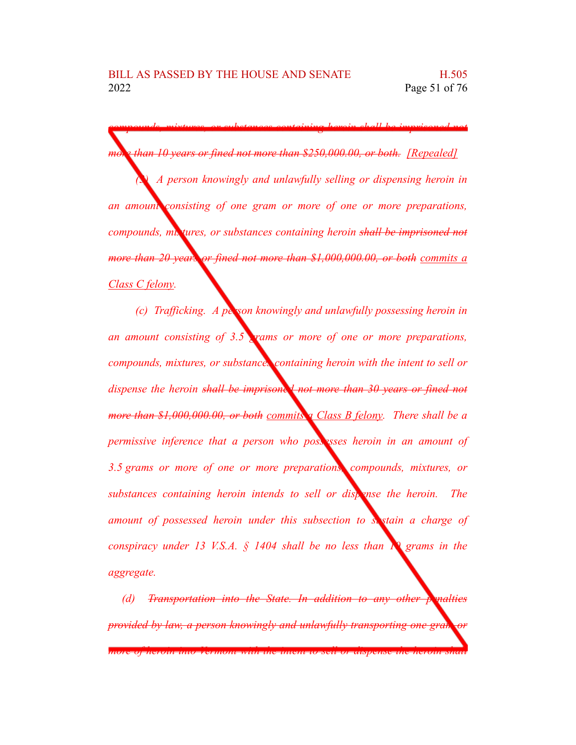*compounds, mixtures, or substances containing heroin shall be imprisoned not more than 10 years or fined not more than \$250,000.00, or both. [Repealed] (3) A person knowingly and unlawfully selling or dispensing heroin in an amount consisting of one gram or more of one or more preparations, compounds, mixtures, or substances containing heroin shall be imprisoned not more than 20 years or fined not more than \$1,000,000.00, or both commits a Class C felony.*

*(c) Trafficking. A person knowingly and unlawfully possessing heroin in an amount consisting of 3.5 grams or more of one or more preparations, compounds, mixtures, or substances containing heroin with the intent to sell or dispense the heroin shall be imprisoned not more than 30 years or fined not more than \$1,000,000.00, or both commits a Class B felony. There shall be a permissive inference that a person who posses <i>heroin in an amount of 3.5 grams or more of one or more preparations, compounds, mixtures, or substances containing heroin intends to sell or dispense the heroin. The amount of possessed heroin under this subsection to sustain a charge of conspiracy under 13 V.S.A. § 1404 shall be no less than 10 grams in the aggregate.*

*(d) Transportation into the State. In addition to any other penalties provided by law, a person knowingly and unlawfully transporting one grain more of heroin into Vermont with the intent to sell or dispense the heroin shall*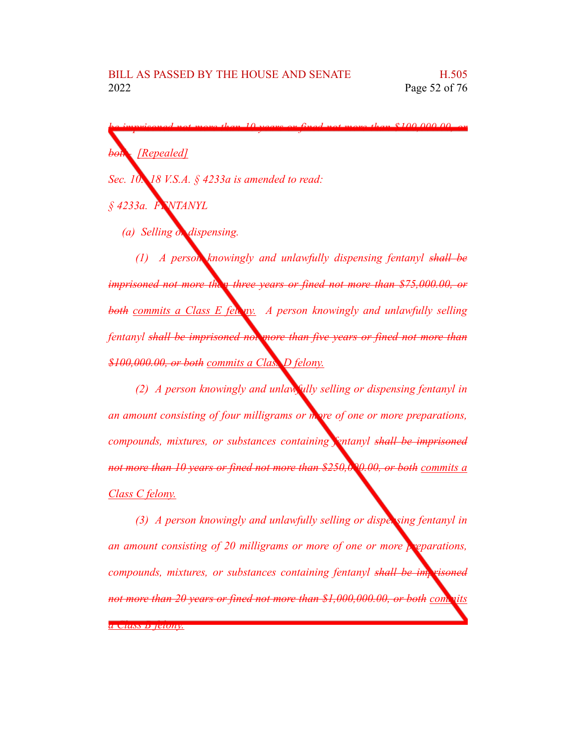*be imprisoned not more than 10 years or fined not more than \$100,000.00, or both. [Repealed] Sec. 10. 18 V.S.A. § 4233a is amended to read:*

*§ 4233a. FENTANYL*

*(a) Selling or dispensing.*

*(1) A person knowingly and unlawfully dispensing fentanyl shall be imprisoned not more than three years or fined not more than \$75,000.00, or both commits a Class E felony. A person knowingly and unlawfully selling fentanyl shall be imprisoned not more than five years or fined not more than \$100,000.00, or both commits a Class D felony.*

*(2) A person knowingly and unlawfully selling or dispensing fentanyl in an amount consisting of four milligrams or more of one or more preparations, compounds, mixtures, or substances containing fentanyl shall be imprisoned not more than 10 years or fined not more than \$250,000.00, or both commits a Class C felony.*

*(3) A person knowingly and unlawfully selling or dispensing fentanyl in an amount consisting of 20 milligrams or more of one or more preparations, compounds, mixtures, or substances containing fentanyl shall be imprisoned not more than 20 years or fined not more than \$1,000,000.00, or both commits a Class B felony.*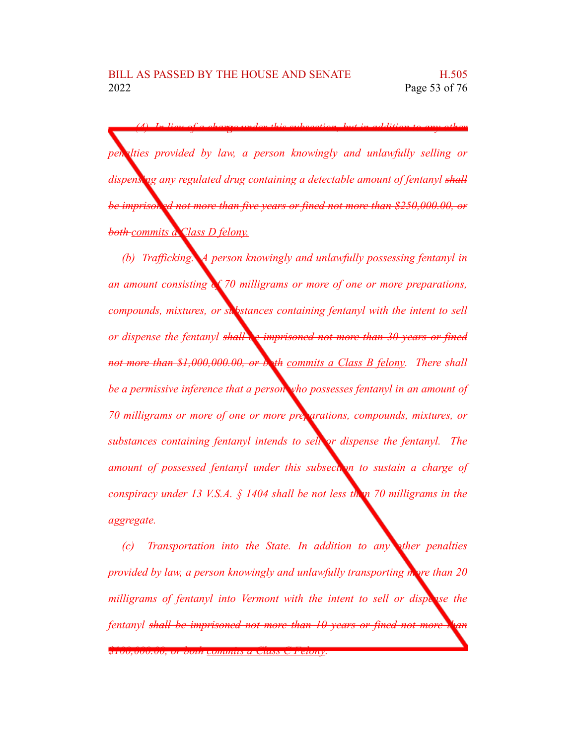*(4) In lieu of a charge under this subsection, but in addition to any other penalties provided by law, a person knowingly and unlawfully selling or dispensing any regulated drug containing a detectable amount of fentanyl shall be imprisoned not more than five years or fined not more than \$250,000.00, or both commits a Class D felony.*

*(b) Trafficking. A person knowingly and unlawfully possessing fentanyl in an amount consisting of 70 milligrams or more of one or more preparations, compounds, mixtures, or substances containing fentanyl with the intent to sell or dispense the fentanyl shall be imprisoned not more than 30 years or fined not more than \$1,000,000.00, or both commits a Class B felony. There shall be a permissive inference that a person who possesses fentanyl in an amount of 70 milligrams or more of one or more preparations, compounds, mixtures, or substances containing fentanyl intends to sell or dispense the fentanyl. The amount of possessed fentanyl under this subsection to sustain a charge of conspiracy under 13 V.S.A. § 1404 shall be not less than 70 milligrams in the aggregate.*

*(c) Transportation into the State. In addition to any other penalties provided by law, a person knowingly and unlawfully transporting more than 20 milligrams of fentanyl into Vermont with the intent to sell or dispense the fentanyl shall be imprisoned not more than 10 years or fined not more than*

*\$100,000.00, or both commits a Class C Felony.*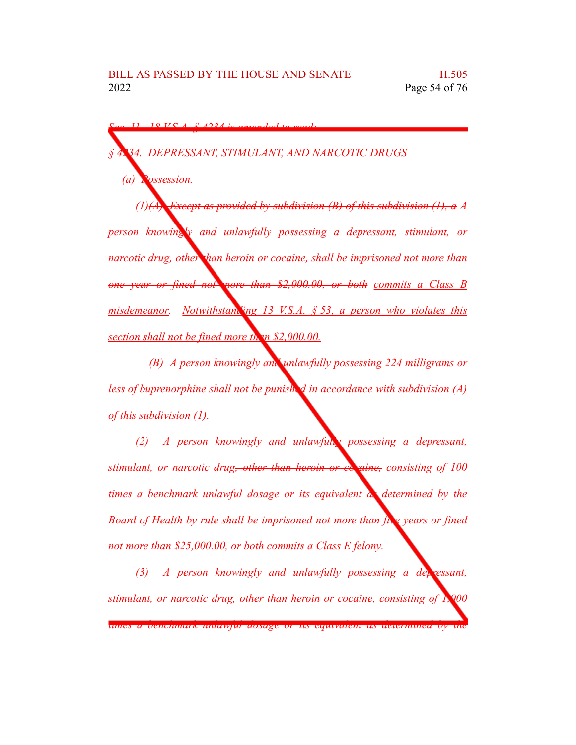*Sec. 11. 18 V.S.A. § 4234 is amended to read:*

*§ 4234. DEPRESSANT, STIMULANT, AND NARCOTIC DRUGS (a) Possession. (1)(A) Except as provided by subdivision (B) of this subdivision (1), a A person knowingly and unlawfully possessing a depressant, stimulant, or narcotic drug, other than heroin or cocaine, shall be imprisoned not more than one year or fined not more than \$2,000.00, or both commits a Class B misdemeanor. Notwithstanding 13 V.S.A. § 53, a person who violates this section shall not be fined more than \$2,000.00.*

*(B) A person knowingly and unlawfully possessing 224 milligrams or less of buprenorphine shall not be punished in accordance with subdivision (A) of this subdivision (1).*

*(2) A person knowingly and unlawfully possessing a depressant, stimulant, or narcotic drug, other than heroin or cocaine, consisting of 100 times a benchmark unlawful dosage or its equivalent as determined by the Board of Health by rule shall be imprisoned not more than five years or fined not more than \$25,000.00, or both commits a Class E felony.*

*(3) A person knowingly and unlawfully possessing a depressant, stimulant, or narcotic drug, other than heroin or cocaine, consisting of 1,000 times a benchmark unlawful dosage or its equivalent as determined by the*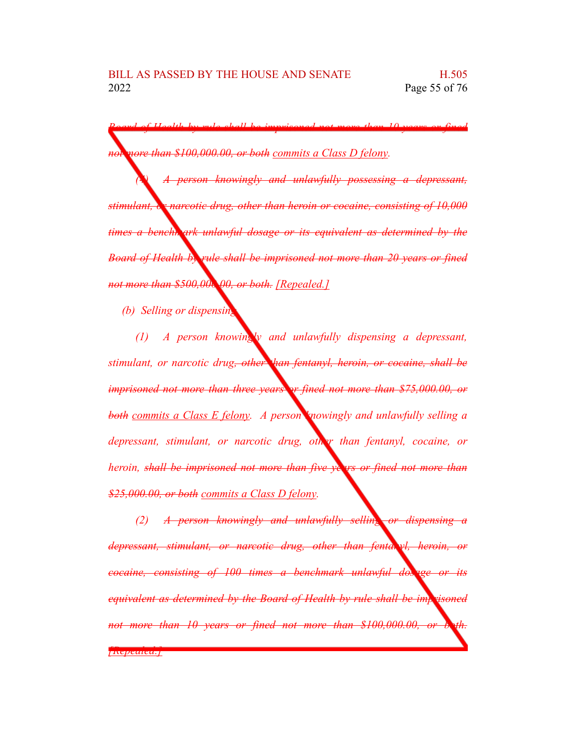*Board of Health by rule shall be imprisoned not more than 10 years or fined not more than \$100,000.00, or both commits a Class D felony.*

*(4) A person knowingly and unlawfully possessing a depressant, stimulant, or narcotic drug, other than heroin or cocaine, consisting of 10,000 times a benchmark unlawful dosage or its equivalent as determined by the Board of Health by rule shall be imprisoned not more than 20 years or fined not more than \$500,000.00, or both. [Repealed.]*

*(b) Selling or dispensing.*

*(1) A person knowingly and unlawfully dispensing a depressant, stimulant, or narcotic drug, other than fentanyl, heroin, or cocaine, shall be imprisoned not more than three years or fined not more than \$75,000.00, or both commits a Class E felony. A person knowingly and unlawfully selling a depressant, stimulant, or narcotic drug, other than fentanyl, cocaine, or heroin, shall be imprisoned not more than five years or fined not more than \$25,000.00, or both commits a Class D felony.*

*(2) A person knowingly and unlawfully selling or dispensing a depressant, stimulant, or narcotic drug, other than fentanyl, heroin, or cocaine, consisting of 100 times a benchmark unlawful dosage or its equivalent as determined by the Board of Health by rule shall be imprisoned not more than* 10 *years or fined not more than* \$100,000.00, *or* 

*[Repealed.]*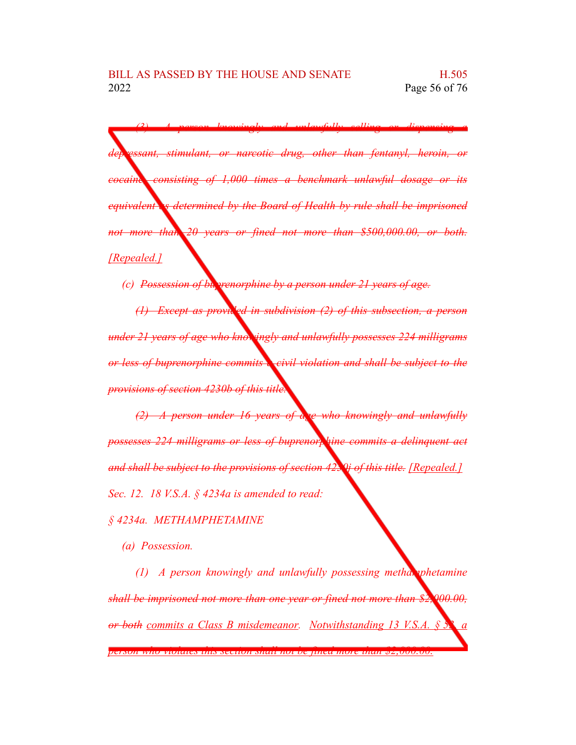*(3) A person knowingly and unlawfully selling or dispensing a depressant, stimulant, or narcotic drug, other than fentanyl, heroin, or cocaine, consisting of 1,000 times a benchmark unlawful dosage or its equivalent as determined by the Board of Health by rule shall be imprisoned not more than 20 years or fined not more than \$500,000.00, or both. [Repealed.]*

*(c)* Possession of buyvenorphine by a person under 21 years of age.

*(1) Except as provided in subdivision (2) of this subsection, a person under 21 years of age who knowingly and unlawfully possesses 224 milligrams or less of buprenorphine commits a civil violation and shall be subject to the provisions of section 4230b of this title.*

*(2) A person under 16 years of age who knowingly and unlawfully possesses 224 milligrams or less of buprenorphine commits a delinquent act and shall be subject to the provisions of section 4230j of this title. [Repealed.] Sec. 12. 18 V.S.A. § 4234a is amended to read:*

## *§ 4234a. METHAMPHETAMINE*

*(a) Possession.*

*(1) A person knowingly and unlawfully possessing methamphetamine shall be imprisoned not more than one year or fined not more than \$2,000.00, or both commits a Class B misdemeanor. Notwithstanding 13 V.S.A. § 53, a person who violates this section shall not be fined more than \$2,000.00.*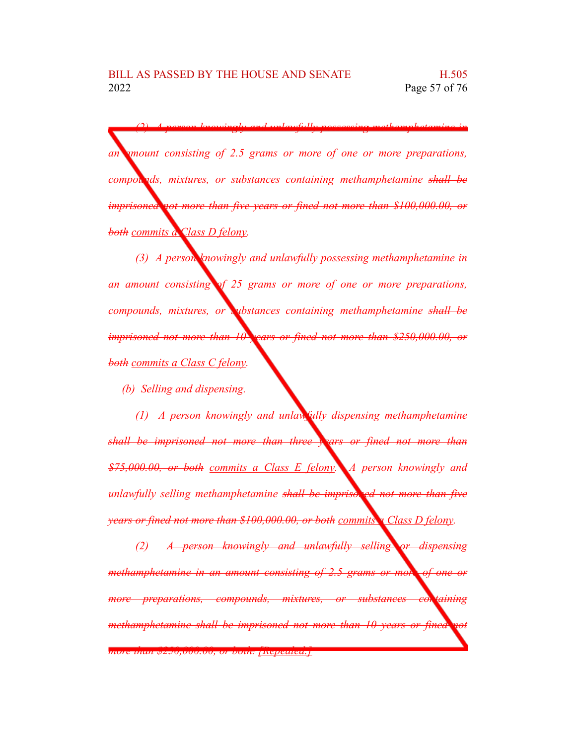*(2) A person knowingly and unlawfully possessing methamphetamine in an amount consisting of 2.5 grams or more of one or more preparations, compounds, mixtures, or substances containing methamphetamine shall be imprisoned not more than five years or fined not more than \$100,000.00, or both commits a Class D felony.*

*(3) A person knowingly and unlawfully possessing methamphetamine in an amount consisting of 25 grams or more of one or more preparations, compounds, mixtures, or substances containing methamphetamine shall be imprisoned not more than 10 years or fined not more than \$250,000.00, or both commits a Class C felony.*

*(b) Selling and dispensing.*

*(1) A person knowingly and unlawfully dispensing methamphetamine shall be imprisoned not more than three years or fined not more than \$75,000.00, or both commits a Class E felony. A person knowingly and unlawfully selling methamphetamine shall be imprisoned not more than five years or fined not more than \$100,000.00, or both commits a Class D felony.*

*(2) A person knowingly and unlawfully selling or dispensing methamphetamine in an amount consisting of 2.5 grams or more of one or more preparations, compounds, mixtures, or substances containing methamphetamine shall be imprisoned not more than 10 years or fined not*

*more than \$250,000.00, or both. [Repealed.]*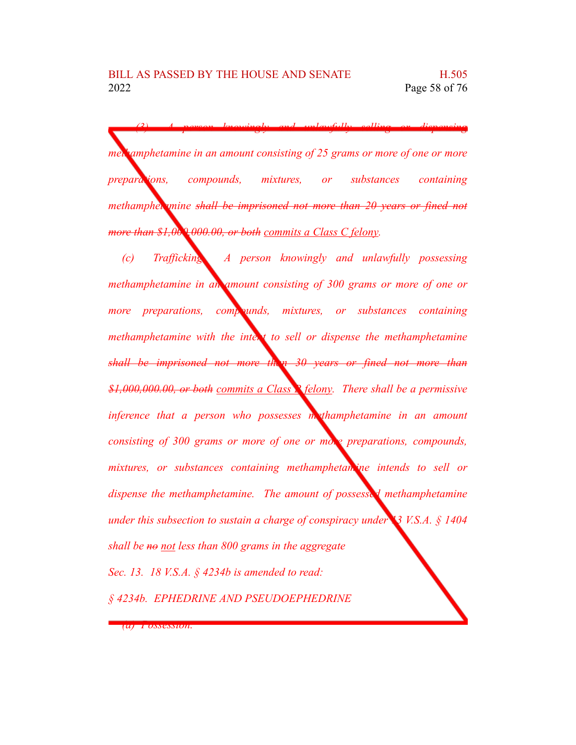*(3) A person knowingly and unlawfully selling or dispensing methamphetamine in an amount consisting of 25 grams or more of one or more preparations, compounds, mixtures, or substances containing methamphetamine shall be imprisoned not more than 20 years or fined not more than \$1,000,000.00, or both commits a Class C felony.*

*(c) Trafficking. A person knowingly and unlawfully possessing methamphetamine in an amount consisting of 300 grams or more of one or more preparations, compounds, mixtures, or substances containing methamphetamine with the intent to sell or dispense the methamphetamine shall be imprisoned not more than 30 years or fined not more than \$1,000,000.00, or both commits a Class B felony. There shall be a permissive inference that a person who possesses methamphetamine in an amount consisting of 300 grams or more of one or more preparations, compounds, mixtures, or substances containing methamphetamine intends to sell or dispense the methamphetamine. The amount of possessed methamphetamine under this subsection to sustain a charge of conspiracy under 13 V.S.A. § 1404 shall be no not less than 800 grams in the aggregate Sec. 13. 18 V.S.A. § 4234b is amended to read: § 4234b. EPHEDRINE AND PSEUDOEPHEDRINE*

*(a) Possession.*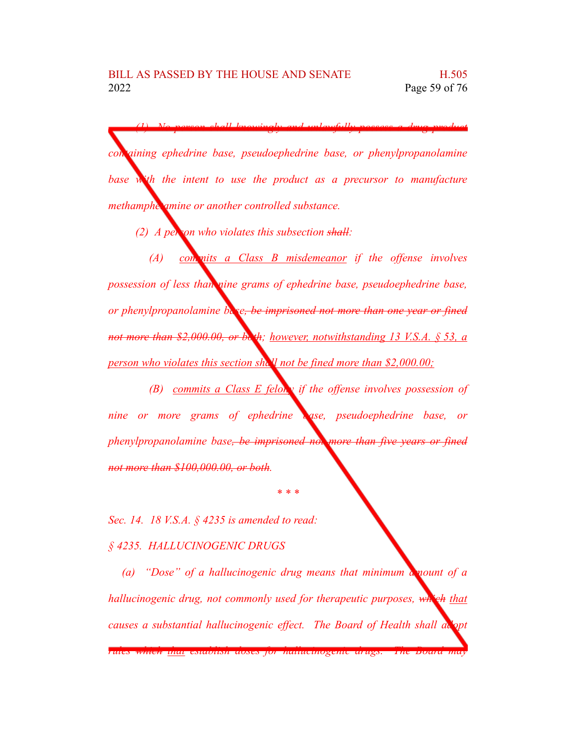*(1) No person shall knowingly and unlawfully possess a drug product containing ephedrine base, pseudoephedrine base, or phenylpropanolamine base with the intent to use the product as a precursor to manufacture methamphetamine or another controlled substance.*

*(2) A person who violates this subsection shall:*

*(A) commits a Class B misdemeanor if the offense involves possession of less than nine grams of ephedrine base, pseudoephedrine base, or phenylpropanolamine base, be imprisoned not more than one year or fined not more than \$2,000.00, or both; however, notwithstanding 13 V.S.A. § 53, a person who violates this section shall not be fined more than \$2,000.00;*

*(B) commits a Class E felony if the offense involves possession of nine or more grams of ephedrine base, pseudoephedrine base, or phenylpropanolamine base, be imprisoned not more than five years or fined not more than \$100,000.00, or both.*

*\* \* \**

*Sec. 14. 18 V.S.A. § 4235 is amended to read:*

*§ 4235. HALLUCINOGENIC DRUGS*

*(a) "Dose" of a hallucinogenic drug means that minimum amount of a hallucinogenic drug, not commonly used for therapeutic purposes, which that causes a substantial hallucinogenic effect. The Board of Health shall adopt*

*rules which that establish doses for hallucinogenic drugs. The Board may*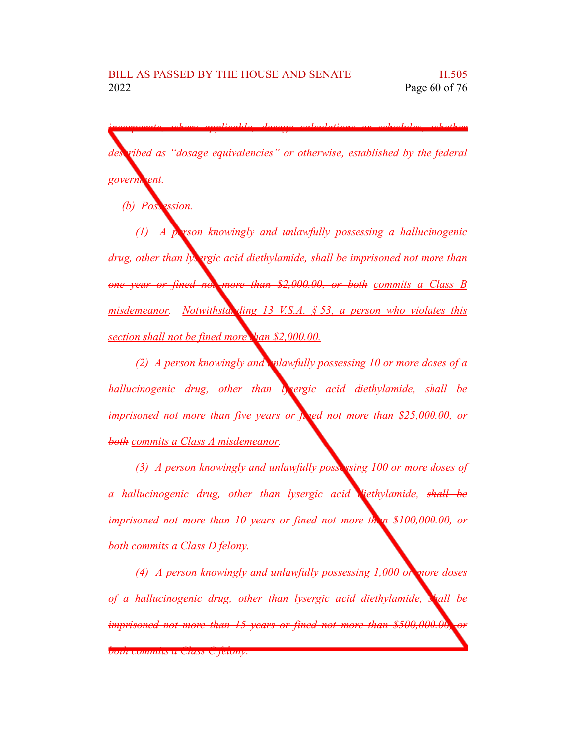*incorporate, where applicable, dosage calculations or schedules, whether*

*described as "dosage equivalencies" or otherwise, established by the federal government.*

*(b) Possession.* 

*(1) A person knowingly and unlawfully possessing a hallucinogenic drug, other than lysergic acid diethylamide, shall be imprisoned not more than one year or fined not more than \$2,000.00, or both commits a Class B misdemeanor. Notwithstanding 13 V.S.A. § 53, a person who violates this section shall not be fined more than \$2,000.00.*

*(2) A person knowingly and unlawfully possessing 10 or more doses of a hallucinogenic drug, other than lysergic acid diethylamide, shall be imprisoned not more than five years or fined not more than \$25,000.00, or both commits a Class A misdemeanor.*

*(3) A person knowingly and unlawfully possessing 100 or more doses of a hallucinogenic drug, other than lysergic acid diethylamide, shall be imprisoned not more than 10 years or fined not more than \$100,000.00, or both commits a Class D felony.*

*(4) A person knowingly and unlawfully possessing 1,000 or more doses of a hallucinogenic drug, other than lysergic acid diethylamide, shall be imprisoned not more than 15 years or fined not more than \$500,000.00, or*

*both commits a Class C felony.*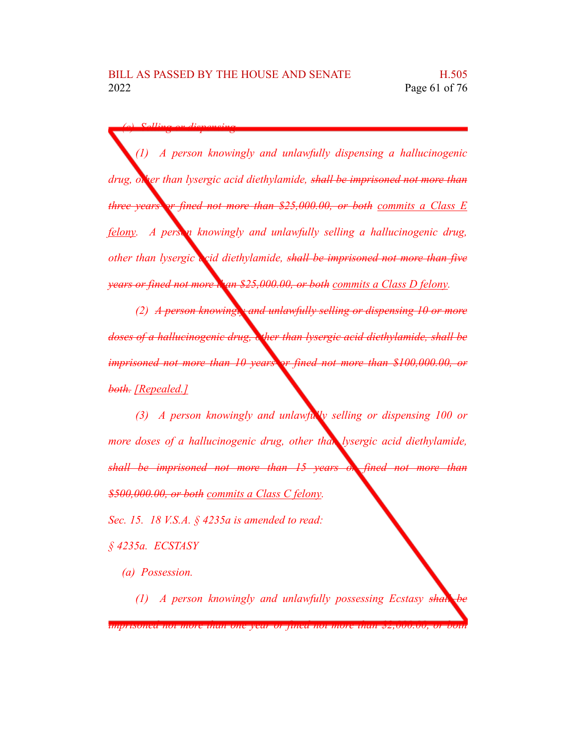*(c) Selling or dispensing.*

*(1) A person knowingly and unlawfully dispensing a hallucinogenic drug, other than lysergic acid diethylamide, shall be imprisoned not more than three years or fined not more than \$25,000.00, or both commits a Class E felony. A person knowingly and unlawfully selling a hallucinogenic drug, other than lysergic acid diethylamide, shall be imprisoned not more than five years or fined not more than* \$25,000.00, *or both commits a Class D felony.* 

*(2) A person knowingly and unlawfully selling or dispensing 10 or more doses of a hallucinogenic drug, other than lysergic acid diethylamide, shall be imprisoned not more than 10 years or fined not more than \$100,000.00, or both. [Repealed.]*

*(3) A person knowingly and unlawfully selling or dispensing 100 or more doses of a hallucinogenic drug, other than lysergic acid diethylamide, shall be imprisoned not more than 15 years or fined not more than \$500,000.00, or both commits a Class C felony. Sec. 15. 18 V.S.A. § 4235a is amended to read:*

*§ 4235a. ECSTASY*

*(a) Possession.*

*(1) A person knowingly and unlawfully possessing Ecstasy shall be*

*imprisoned not more than one year or fined not more than \$2,000.00, or both*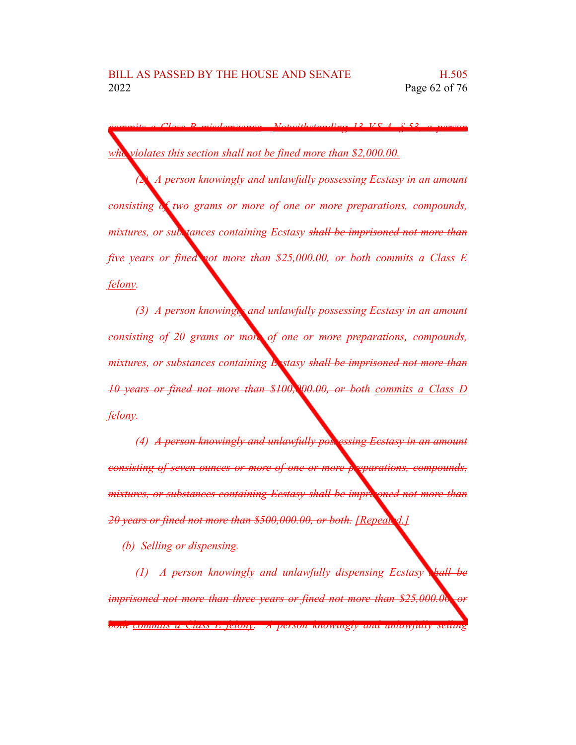*commits a Class B misdemeanor. Notwithstanding 13 V.S.A. § 53, a person who violates this section shall not be fined more than \$2,000.00.*

*(2) A person knowingly and unlawfully possessing Ecstasy in an amount consisting of two grams or more of one or more preparations, compounds, mixtures, or substances containing Ecstasy shall be imprisoned not more than five years or fined not more than \$25,000.00, or both commits a Class E felony.*

*(3) A person knowingly and unlawfully possessing Ecstasy in an amount consisting of 20 grams or more of one or more preparations, compounds, mixtures, or substances containing Ecstasy shall be imprisoned not more than 10 years or fined not more than \$100,000.00, or both commits a Class D felony.*

*(4) A person knowingly and unlawfully possessing Ecstasy in an amount consisting of seven ounces or more of one or more preparations, compounds, mixtures, or substances containing Ecstasy shall be imprisoned not more than 20 years or fined not more than \$500,000.00, or both. [Repealed.]*

*(b) Selling or dispensing.*

*(1) A person knowingly and unlawfully dispensing Ecstasy shall be imprisoned not more than three years or fined not more than \$25,000.00, or both commits a Class E felony. A person knowingly and unlawfully selling*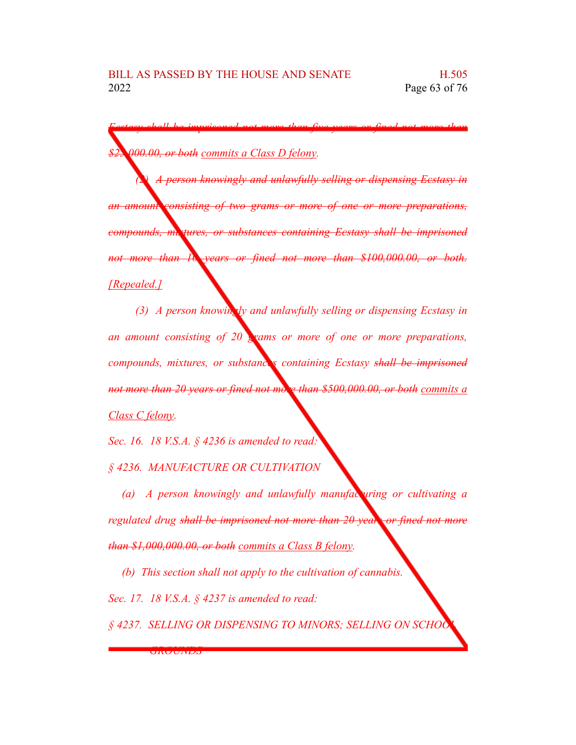*Ecstasy shall be imprisoned not more than five years or fined not more than \$25,000.00, or both commits a Class D felony.*

*(2) A person knowingly and unlawfully selling or dispensing Ecstasy in an amount consisting of two grams or more of one or more preparations, compounds, mixtures, or substances containing Ecstasy shall be imprisoned not more than 10 years or fined not more than \$100,000.00, or both. [Repealed.]*

*(3) A person knowingly and unlawfully selling or dispensing Ecstasy in an amount consisting of 20 grams or more of one or more preparations, compounds, mixtures, or substances containing Ecstasy shall be imprisoned not more than 20 years or fined not more than \$500,000.00, or both commits a Class C felony.*

*Sec. 16. 18 V.S.A. § 4236 is amended to read:*

*§ 4236. MANUFACTURE OR CULTIVATION*

*(a) A person knowingly and unlawfully manufacturing or cultivating a regulated drug shall be imprisoned not more than 20 years or fined not more than \$1,000,000.00, or both commits a Class B felony.*

*(b) This section shall not apply to the cultivation of cannabis. Sec. 17. 18 V.S.A. § 4237 is amended to read:*

*§ 4237. SELLING OR DISPENSING TO MINORS; SELLING ON SCHOOL*

*GROUNDS*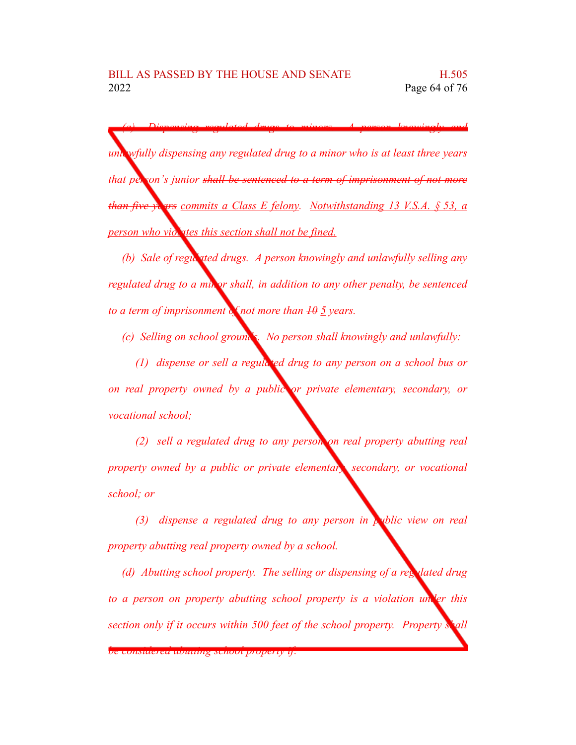*(a) Dispensing regulated drugs to minors. A person knowingly and unlawfully dispensing any regulated drug to a minor who is at least three years that person's junior shall be sentenced to a term of imprisonment of not more than five years commits a Class E felony. Notwithstanding 13 V.S.A. § 53, a person who violates this section shall not be fined.* 

*(b) Sale of regulated drugs. A person knowingly and unlawfully selling any regulated drug to a minor shall, in addition to any other penalty, be sentenced to a term of imprisonment of not more than 10 5 years.*

*(c) Selling on school grounds. No person shall knowingly and unlawfully:*

*(1) dispense or sell a regulated drug to any person on a school bus or on real property owned by a public or private elementary, secondary, or vocational school;*

*(2) sell a regulated drug to any person on real property abutting real property owned by a public or private elementary, secondary, or vocational school; or*

*(3) dispense a regulated drug to any person in public view on real property abutting real property owned by a school.*

*(d) Abutting school property. The selling or dispensing of a regulated drug to a person on property abutting school property is a violation under this section only if it occurs within 500 feet of the school property. Property shall*

*be considered abutting school property if:*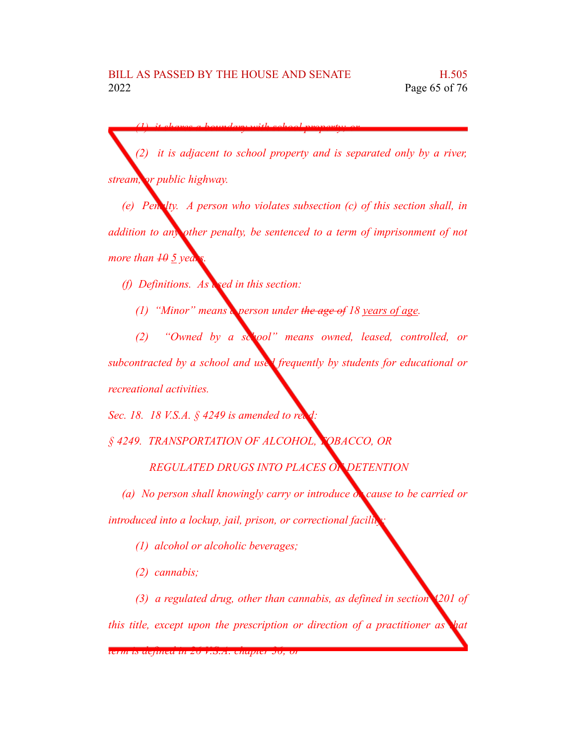*(1) it shares a boundary with school property; or*

*(2) it is adjacent to school property and is separated only by a river, stream, or public highway.*

*(e) Penalty. A person who violates subsection (c) of this section shall, in addition to any other penalty, be sentenced to a term of imprisonment of not more than*  $\overline{10}$  *years*.

*(f) Definitions. As used in this section:*

*(1) "Minor" means a person under the age of 18 years of age.*

*(2) "Owned by a school" means owned, leased, controlled, or subcontracted by a school and used frequently by students for educational or recreational activities.*

*Sec.* 18. 18 *V.S.A. §* 4249 *is amended to read* 

*§ 4249. TRANSPORTATION OF ALCOHOL, TOBACCO, OR*

*REGULATED DRUGS INTO PLACES OF DETENTION*

*(a) No person shall knowingly carry or introduce or cause to be carried or introduced into a lockup, jail, prison, or correctional facility:*

*(1) alcohol or alcoholic beverages;*

*(2) cannabis;*

*(3) a regulated drug, other than cannabis, as defined in section 4201 of*

*this title, except upon the prescription or direction of a practitioner as that*

*term is defined in 26 V.S.A. chapter 36; or*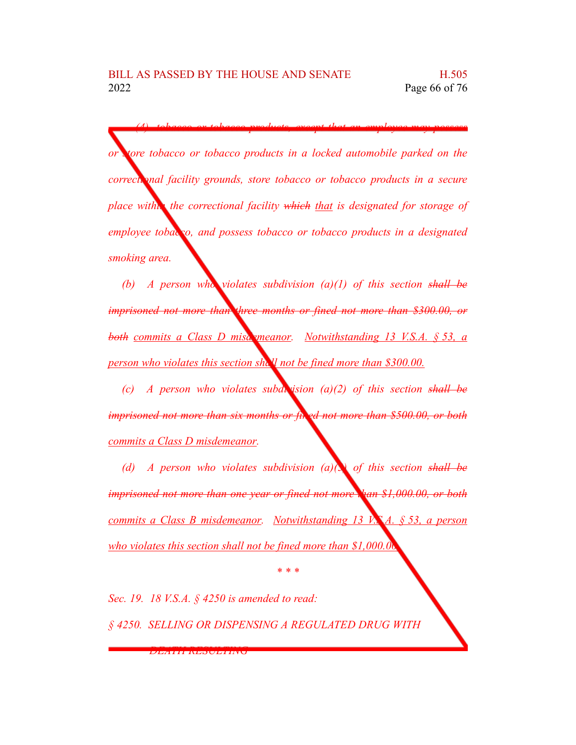*or store tobacco or tobacco products in a locked automobile parked on the correctional facility grounds, store tobacco or tobacco products in a secure place within the correctional facility which that is designated for storage of employee tobacco, and possess tobacco or tobacco products in a designated smoking area.*

*(4) tobacco or tobacco products, except that an employee may possess*

*(b) A person who violates subdivision (a)(1) of this section shall be imprisoned not more than three months or fined not more than \$300.00, or both commits a Class D misdemeanor. Notwithstanding 13 V.S.A. § 53, a person who violates this section shall not be fined more than \$300.00.*

*(c) A person who violates subdivision (a)(2) of this section shall be imprisoned not more than six months or fined not more than \$500.00, or both commits a Class D misdemeanor.*

*(d) A person who violates subdivision (a)(3) of this section shall be imprisoned not more than one year or fined not more than \$1,000.00, or both commits a Class B misdemeanor. Notwithstanding 13 V.S.A. § 53, a person who violates this section shall not be fined more than \$1,000.00.*

*\* \* \**

*Sec. 19. 18 V.S.A. § 4250 is amended to read: § 4250. SELLING OR DISPENSING A REGULATED DRUG WITH*

*DEATH RESULTING*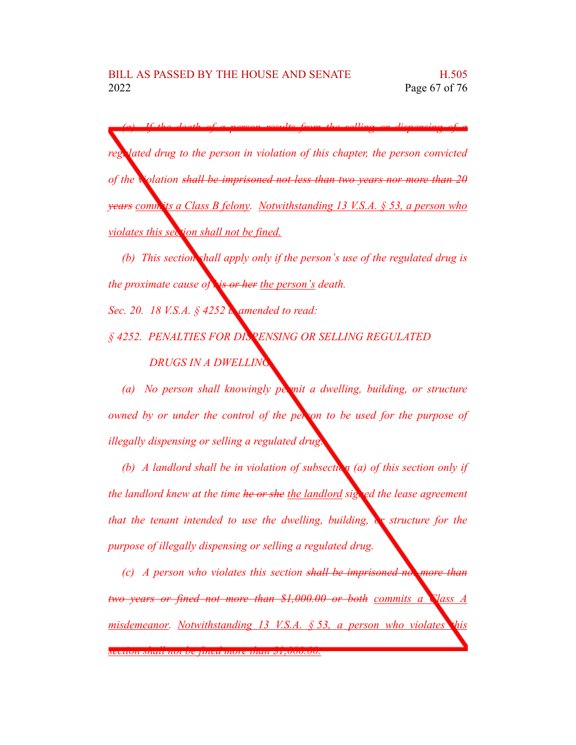*(a) If the death of a person results from the selling or dispensing of a <u><i>kated drug to the person in violation of this chapter, the person convicted*</u> *of the violation shall be imprisoned not less than two years nor more than 20 years commits a Class B felony. Notwithstanding 13 V.S.A. § 53, a person who violates this section shall not be fined.*

*(b) This section shall apply only if the person's use of the regulated drug is the proximate cause of his or her the person's death.*

*Sec. 20. 18 V.S.A. § 4252 is amended to read:*

*§ 4252. PENALTIES FOR DISPENSING OR SELLING REGULATED DRUGS IN A DWELLING*

*(a) No person shall knowingly permit a dwelling, building, or structure owned by or under the control of the person to be used for the purpose of illegally dispensing or selling a regulated drug.*

*(b) A landlord shall be in violation of subsection (a) of this section only if the landlord knew at the time he or she the landlord signed the lease agreement that the tenant intended to use the dwelling, building, or structure for the purpose of illegally dispensing or selling a regulated drug.*

*(c) A person who violates this section shall be imprisoned not more than two years or fined not more than \$1,000.00 or both commits a Class A misdemeanor. Notwithstanding 13 V.S.A. § 53, a person who violates this*

*section shall not be fined more than \$1,000.00.*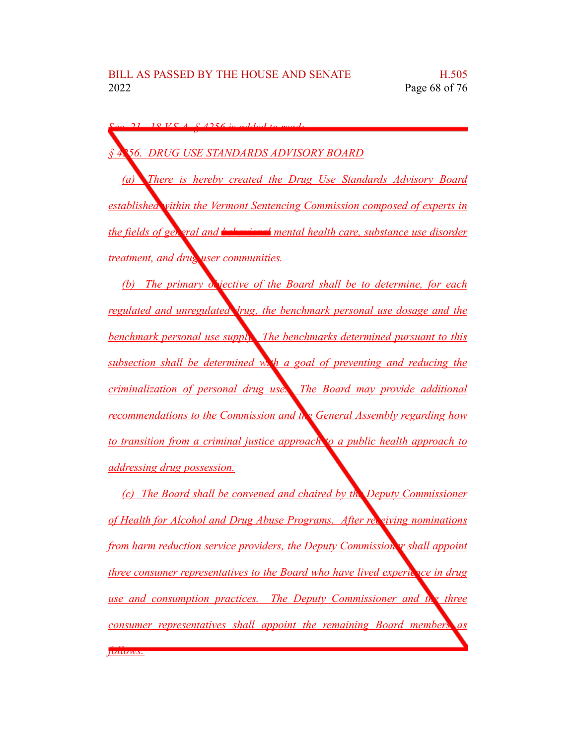*Sec. 21. 18 V.S.A. § 4256 is added to read: § 4256. DRUG USE STANDARDS ADVISORY BOARD (a) There is hereby created the Drug Use Standards Advisory Board established within the Vermont Sentencing Commission composed of experts in the fields* of general *and* **behavioral** mental health care, substance use disorder *treatment, and drug user communities. (b) The primary objective of the Board shall be to determine, for each regulated and unregulated drug, the benchmark personal use dosage and the benchmark personal use supply. The benchmarks determined pursuant to this subsection shall be determined with a goal of preventing and reducing the criminalization of personal drug use. The Board may provide additional recommendations to the Commission and the General Assembly regarding how to transition from a criminal justice approach to a public health approach to addressing drug possession.*

*(c) The Board shall be convened and chaired by the Deputy Commissioner of Health for Alcohol and Drug Abuse Programs. After receiving nominations from harm reduction service providers, the Deputy Commissioner shall appoint three consumer representatives to the Board who have lived experic vce in drug use and consumption practices. The Deputy Commissioner and the three consumer representatives shall appoint the remaining Board members as follows:*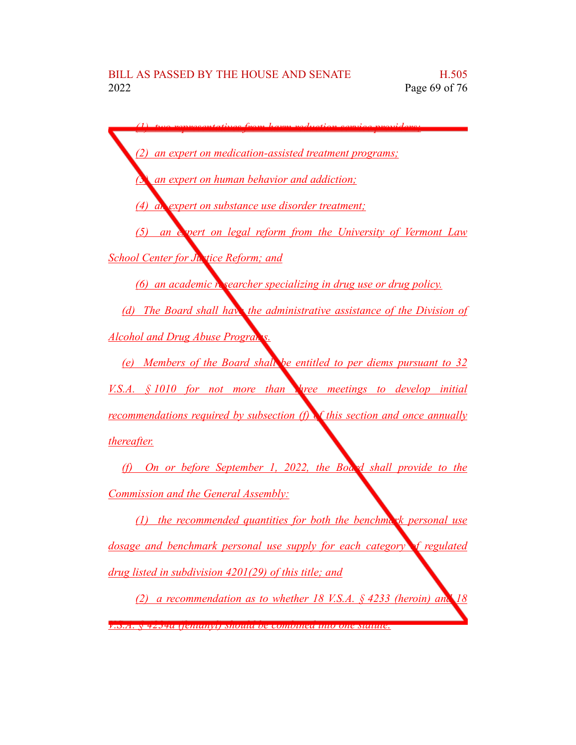*(1) two representatives from harm reduction service providers; (2) an expert on medication-assisted treatment programs; (3) an expert on human behavior and addiction; (4) an expert on substance use disorder treatment; (5) an expert on legal reform from the University of Vermont Law School Center for Justice Reform; and (6) an academic researcher specializing in drug use or drug policy. (d) The Board shall have the administrative assistance of the Division of Alcohol and Drug Abuse Programs. (e) Members of the Board shall be entitled to per diems pursuant to 32 V.S.A. § 1010 for not more than three meetings to develop initial recommendations required by subsection (f) of this section and once annually thereafter. (f) On or before September 1, 2022, the Board shall provide to the Commission and the General Assembly: (1) the recommended quantities for both the benchmark personal use dosage and benchmark personal use supply for each category of regulated drug listed in subdivision 4201(29) of this title; and*

*(2) a recommendation as to whether 18 V.S.A. § 4233 (heroin) and 18*

*V.S.A. § 4234a (fentanyl) should be combined into one statute.*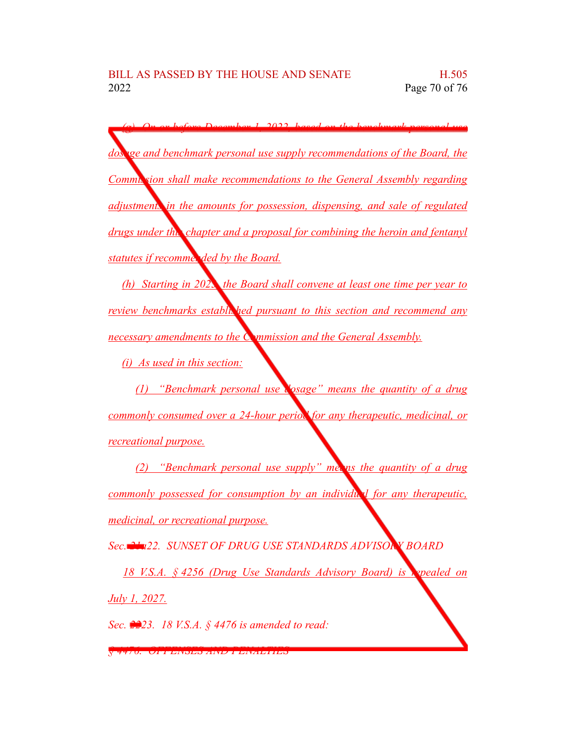*(g) On or before December 1, 2022, based on the benchmark personal use dosage and benchmark personal use supply recommendations of the Board, the Commission shall make recommendations to the General Assembly regarding adjustments in the amounts for possession, dispensing, and sale of regulated drugs under this chapter and a proposal for combining the heroin and fentanyl statutes if recommen ded by the Board.* 

*(h) Starting in 2023, the Board shall convene at least one time per year to review benchmarks established pursuant to this section and recommend any necessary amendments to the Commission and the General Assembly.*

*(i) As used in this section:*

*(1) "Benchmark personal use dosage" means the quantity of a drug commonly consumed over a 24-hour period for any therapeutic, medicinal, or recreational purpose.*

*(2) "Benchmark personal use supply" means the quantity of a drug commonly possessed for consumption by an individual for any therapeutic, medicinal, or recreational purpose.*

*Sec. 21a22. SUNSET OF DRUG USE STANDARDS ADVISORY BOARD*

*18 V.S.A. § 4256 (Drug Use Standards Advisory Board) is repealed on July 1, 2027.*

*Sec. 2223. 18 V.S.A. § 4476 is amended to read:*

*§ 4476. OFFENSES AND PENALTIES*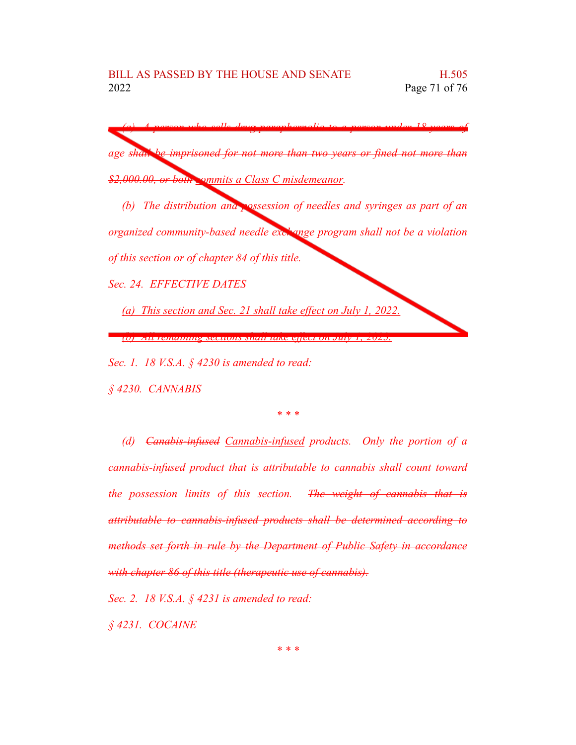*(a) A person who sells drug paraphernalia to a person under 18 years of age shall be imprisoned for not more than two years or fined not more than \$2,000.00, or both commits a Class C misdemeanor. (b) The distribution and possession of needles and syringes as part of an organized community-based needle exchange program shall not be a violation of this section or of chapter 84 of this title. Sec. 24. EFFECTIVE DATES (a) This section and Sec. 21 shall take effect on July 1, 2022. (b) All remaining sections shall take effect on July 1, 2023. Sec. 1. 18 V.S.A. § 4230 is amended to read:*

*§ 4230. CANNABIS*

## *\* \* \**

*(d) Canabis-infused Cannabis-infused products. Only the portion of a cannabis-infused product that is attributable to cannabis shall count toward the possession limits of this section. The weight of cannabis that is attributable to cannabis-infused products shall be determined according to methods set forth in rule by the Department of Public Safety in accordance with chapter 86 of this title (therapeutic use of cannabis).*

*Sec. 2. 18 V.S.A. § 4231 is amended to read:*

*§ 4231. COCAINE*

*\* \* \**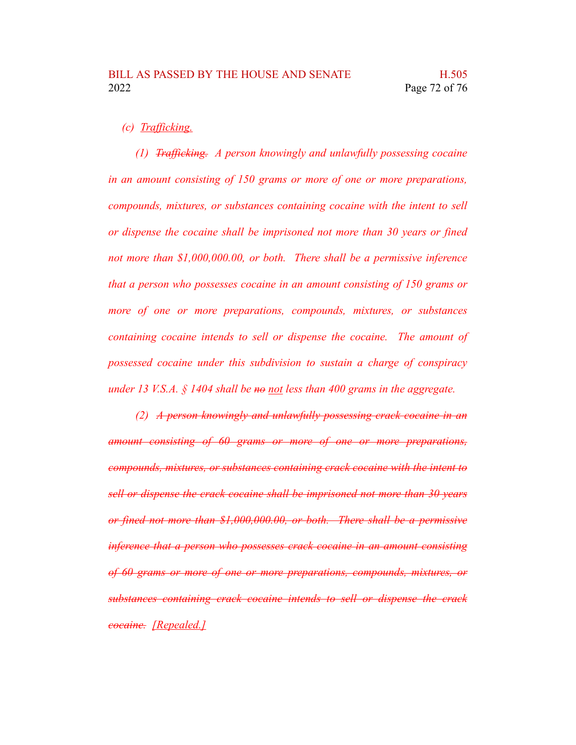## *(c) Trafficking.*

*(1) Trafficking. A person knowingly and unlawfully possessing cocaine in an amount consisting of 150 grams or more of one or more preparations, compounds, mixtures, or substances containing cocaine with the intent to sell or dispense the cocaine shall be imprisoned not more than 30 years or fined not more than \$1,000,000.00, or both. There shall be a permissive inference that a person who possesses cocaine in an amount consisting of 150 grams or more of one or more preparations, compounds, mixtures, or substances containing cocaine intends to sell or dispense the cocaine. The amount of possessed cocaine under this subdivision to sustain a charge of conspiracy under 13 V.S.A. § 1404 shall be no not less than 400 grams in the aggregate.*

*(2) A person knowingly and unlawfully possessing crack cocaine in an amount consisting of 60 grams or more of one or more preparations, compounds, mixtures, or substances containing crack cocaine with the intent to sell or dispense the crack cocaine shall be imprisoned not more than 30 years or fined not more than \$1,000,000.00, or both. There shall be a permissive inference that a person who possesses crack cocaine in an amount consisting of 60 grams or more of one or more preparations, compounds, mixtures, or substances containing crack cocaine intends to sell or dispense the crack cocaine. [Repealed.]*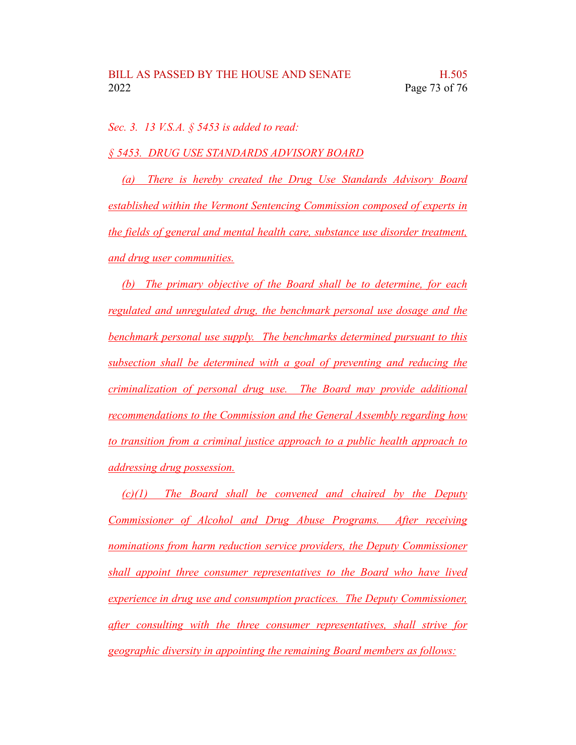*Sec. 3. 13 V.S.A. § 5453 is added to read:*

*§ 5453. DRUG USE STANDARDS ADVISORY BOARD*

*(a) There is hereby created the Drug Use Standards Advisory Board established within the Vermont Sentencing Commission composed of experts in the fields of general and mental health care, substance use disorder treatment, and drug user communities.*

*(b) The primary objective of the Board shall be to determine, for each regulated and unregulated drug, the benchmark personal use dosage and the benchmark personal use supply. The benchmarks determined pursuant to this subsection shall be determined with a goal of preventing and reducing the criminalization of personal drug use. The Board may provide additional recommendations to the Commission and the General Assembly regarding how to transition from a criminal justice approach to a public health approach to addressing drug possession.*

*(c)(1) The Board shall be convened and chaired by the Deputy Commissioner of Alcohol and Drug Abuse Programs. After receiving nominations from harm reduction service providers, the Deputy Commissioner shall appoint three consumer representatives to the Board who have lived experience in drug use and consumption practices. The Deputy Commissioner, after consulting with the three consumer representatives, shall strive for geographic diversity in appointing the remaining Board members as follows:*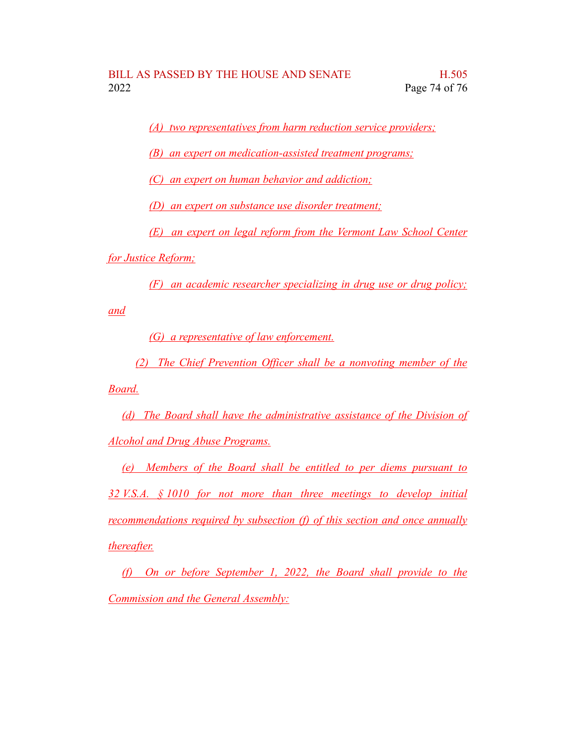*(A) two representatives from harm reduction service providers;*

*(B) an expert on medication-assisted treatment programs;*

*(C) an expert on human behavior and addiction;*

*(D) an expert on substance use disorder treatment;*

*(E) an expert on legal reform from the Vermont Law School Center*

*for Justice Reform;*

*(F) an academic researcher specializing in drug use or drug policy;*

*and*

*(G) a representative of law enforcement.*

*(2) The Chief Prevention Officer shall be a nonvoting member of the Board.*

*(d) The Board shall have the administrative assistance of the Division of Alcohol and Drug Abuse Programs.*

*(e) Members of the Board shall be entitled to per diems pursuant to 32 V.S.A. § 1010 for not more than three meetings to develop initial recommendations required by subsection (f) of this section and once annually thereafter.*

*(f) On or before September 1, 2022, the Board shall provide to the Commission and the General Assembly:*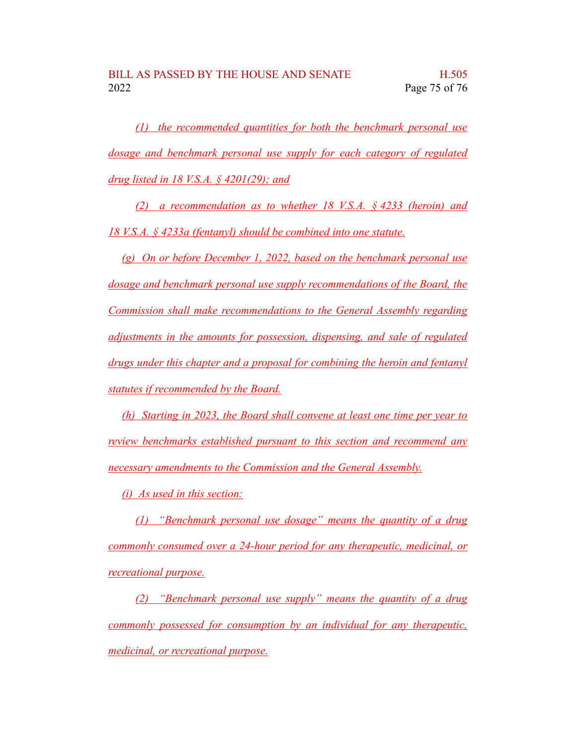*(1) the recommended quantities for both the benchmark personal use dosage and benchmark personal use supply for each category of regulated drug listed in 18 V.S.A. § 4201(29); and*

*(2) a recommendation as to whether 18 V.S.A. § 4233 (heroin) and 18 V.S.A. § 4233a (fentanyl) should be combined into one statute.*

*(g) On or before December 1, 2022, based on the benchmark personal use dosage and benchmark personal use supply recommendations of the Board, the Commission shall make recommendations to the General Assembly regarding adjustments in the amounts for possession, dispensing, and sale of regulated drugs under this chapter and a proposal for combining the heroin and fentanyl statutes if recommended by the Board.*

*(h) Starting in 2023, the Board shall convene at least one time per year to review benchmarks established pursuant to this section and recommend any necessary amendments to the Commission and the General Assembly.*

*(i) As used in this section:*

*(1) "Benchmark personal use dosage" means the quantity of a drug commonly consumed over a 24-hour period for any therapeutic, medicinal, or recreational purpose.*

*(2) "Benchmark personal use supply" means the quantity of a drug commonly possessed for consumption by an individual for any therapeutic, medicinal, or recreational purpose.*